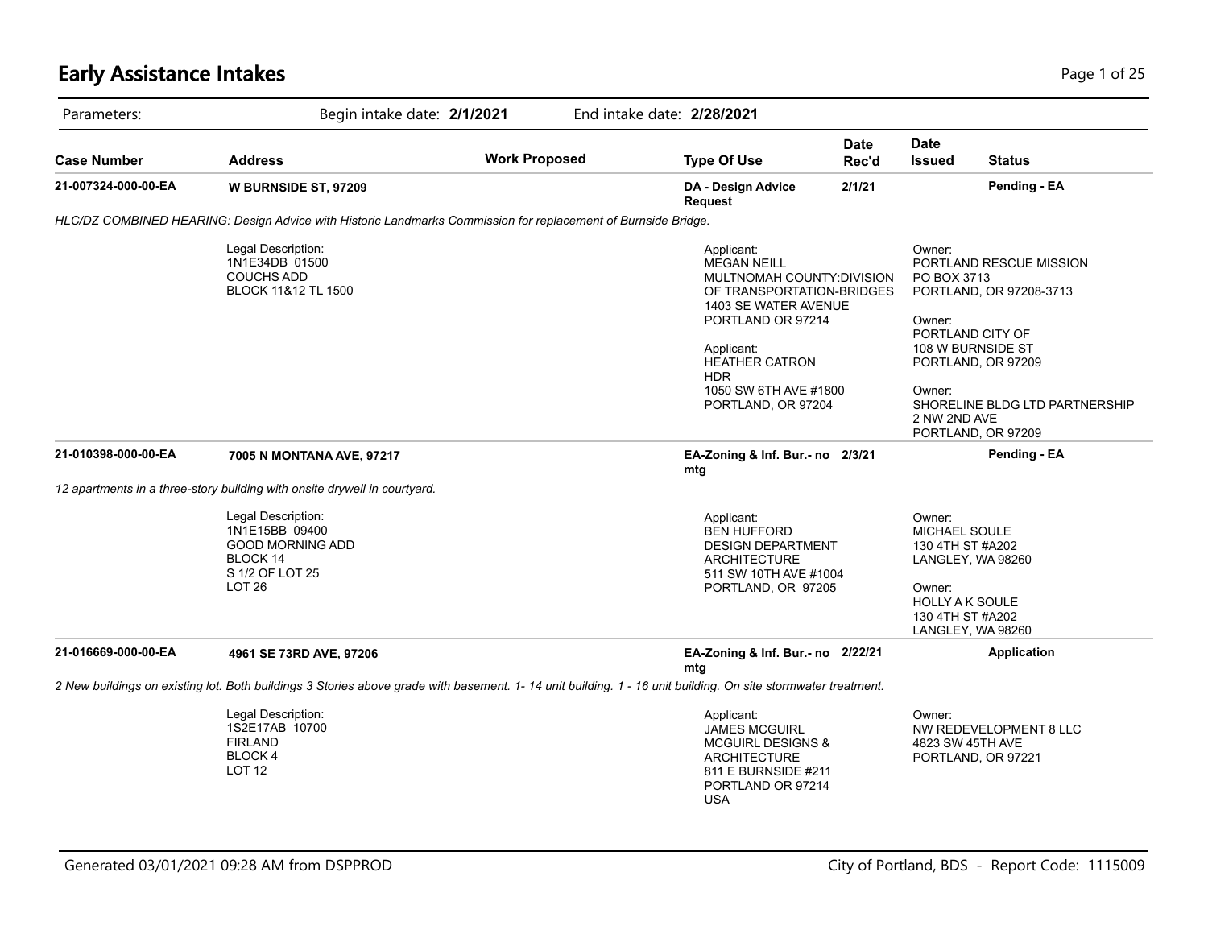# **Early Assistance Intakes** Page 1 of 25

| Parameters:                                                                      | Begin intake date: 2/1/2021                                                                                                                                  |                                                                                                                                                                                                                                       | End intake date: 2/28/2021                                                                                                                          |                                                                                                                                                                                                                                        |                                                                                                                                               |                                              |  |
|----------------------------------------------------------------------------------|--------------------------------------------------------------------------------------------------------------------------------------------------------------|---------------------------------------------------------------------------------------------------------------------------------------------------------------------------------------------------------------------------------------|-----------------------------------------------------------------------------------------------------------------------------------------------------|----------------------------------------------------------------------------------------------------------------------------------------------------------------------------------------------------------------------------------------|-----------------------------------------------------------------------------------------------------------------------------------------------|----------------------------------------------|--|
| Case Number                                                                      | <b>Address</b>                                                                                                                                               | <b>Work Proposed</b>                                                                                                                                                                                                                  | <b>Type Of Use</b>                                                                                                                                  | <b>Date</b><br>Rec'd                                                                                                                                                                                                                   | <b>Date</b><br><b>Issued</b>                                                                                                                  | <b>Status</b>                                |  |
| 21-007324-000-00-EA                                                              | <b>W BURNSIDE ST, 97209</b>                                                                                                                                  |                                                                                                                                                                                                                                       | DA - Design Advice<br>Request                                                                                                                       | 2/1/21                                                                                                                                                                                                                                 |                                                                                                                                               | Pending - EA                                 |  |
|                                                                                  | HLC/DZ COMBINED HEARING: Design Advice with Historic Landmarks Commission for replacement of Burnside Bridge.                                                |                                                                                                                                                                                                                                       |                                                                                                                                                     |                                                                                                                                                                                                                                        |                                                                                                                                               |                                              |  |
| Legal Description:<br>1N1E34DB 01500<br><b>COUCHS ADD</b><br>BLOCK 11&12 TL 1500 |                                                                                                                                                              | Applicant:<br><b>MEGAN NEILL</b><br>MULTNOMAH COUNTY: DIVISION<br>OF TRANSPORTATION-BRIDGES<br>1403 SE WATER AVENUE<br>PORTLAND OR 97214<br>Applicant:<br>HEATHER CATRON<br><b>HDR</b><br>1050 SW 6TH AVE #1800<br>PORTLAND, OR 97204 |                                                                                                                                                     | Owner:<br>PORTLAND RESCUE MISSION<br>PO BOX 3713<br>PORTLAND, OR 97208-3713<br>Owner:<br>PORTLAND CITY OF<br>108 W BURNSIDE ST<br>PORTLAND, OR 97209<br>Owner:<br>SHORELINE BLDG LTD PARTNERSHIP<br>2 NW 2ND AVE<br>PORTLAND, OR 97209 |                                                                                                                                               |                                              |  |
| 21-010398-000-00-EA                                                              | 7005 N MONTANA AVE, 97217                                                                                                                                    |                                                                                                                                                                                                                                       | EA-Zoning & Inf. Bur.- no 2/3/21<br>mtg                                                                                                             |                                                                                                                                                                                                                                        |                                                                                                                                               | Pending - EA                                 |  |
|                                                                                  | 12 apartments in a three-story building with onsite drywell in courtyard.                                                                                    |                                                                                                                                                                                                                                       |                                                                                                                                                     |                                                                                                                                                                                                                                        |                                                                                                                                               |                                              |  |
|                                                                                  | Legal Description:<br>1N1E15BB 09400<br><b>GOOD MORNING ADD</b><br>BLOCK 14<br>S 1/2 OF LOT 25<br>LOT <sub>26</sub>                                          |                                                                                                                                                                                                                                       | Applicant:<br><b>BEN HUFFORD</b><br><b>DESIGN DEPARTMENT</b><br><b>ARCHITECTURE</b><br>511 SW 10TH AVE #1004<br>PORTLAND, OR 97205                  |                                                                                                                                                                                                                                        | Owner:<br>MICHAEL SOULE<br>130 4TH ST #A202<br>LANGLEY, WA 98260<br>Owner:<br><b>HOLLY A K SOULE</b><br>130 4TH ST #A202<br>LANGLEY, WA 98260 |                                              |  |
| 21-016669-000-00-EA                                                              | 4961 SE 73RD AVE, 97206                                                                                                                                      |                                                                                                                                                                                                                                       | EA-Zoning & Inf. Bur.- no 2/22/21<br>mtg                                                                                                            |                                                                                                                                                                                                                                        |                                                                                                                                               | <b>Application</b>                           |  |
|                                                                                  | 2 New buildings on existing lot. Both buildings 3 Stories above grade with basement. 1-14 unit building. 1 - 16 unit building. On site stormwater treatment. |                                                                                                                                                                                                                                       |                                                                                                                                                     |                                                                                                                                                                                                                                        |                                                                                                                                               |                                              |  |
|                                                                                  | Legal Description:<br>1S2E17AB 10700<br><b>FIRLAND</b><br><b>BLOCK4</b><br><b>LOT 12</b>                                                                     |                                                                                                                                                                                                                                       | Applicant:<br><b>JAMES MCGUIRL</b><br><b>MCGUIRL DESIGNS &amp;</b><br><b>ARCHITECTURE</b><br>811 E BURNSIDE #211<br>PORTLAND OR 97214<br><b>USA</b> |                                                                                                                                                                                                                                        | Owner:<br>4823 SW 45TH AVE                                                                                                                    | NW REDEVELOPMENT 8 LLC<br>PORTLAND, OR 97221 |  |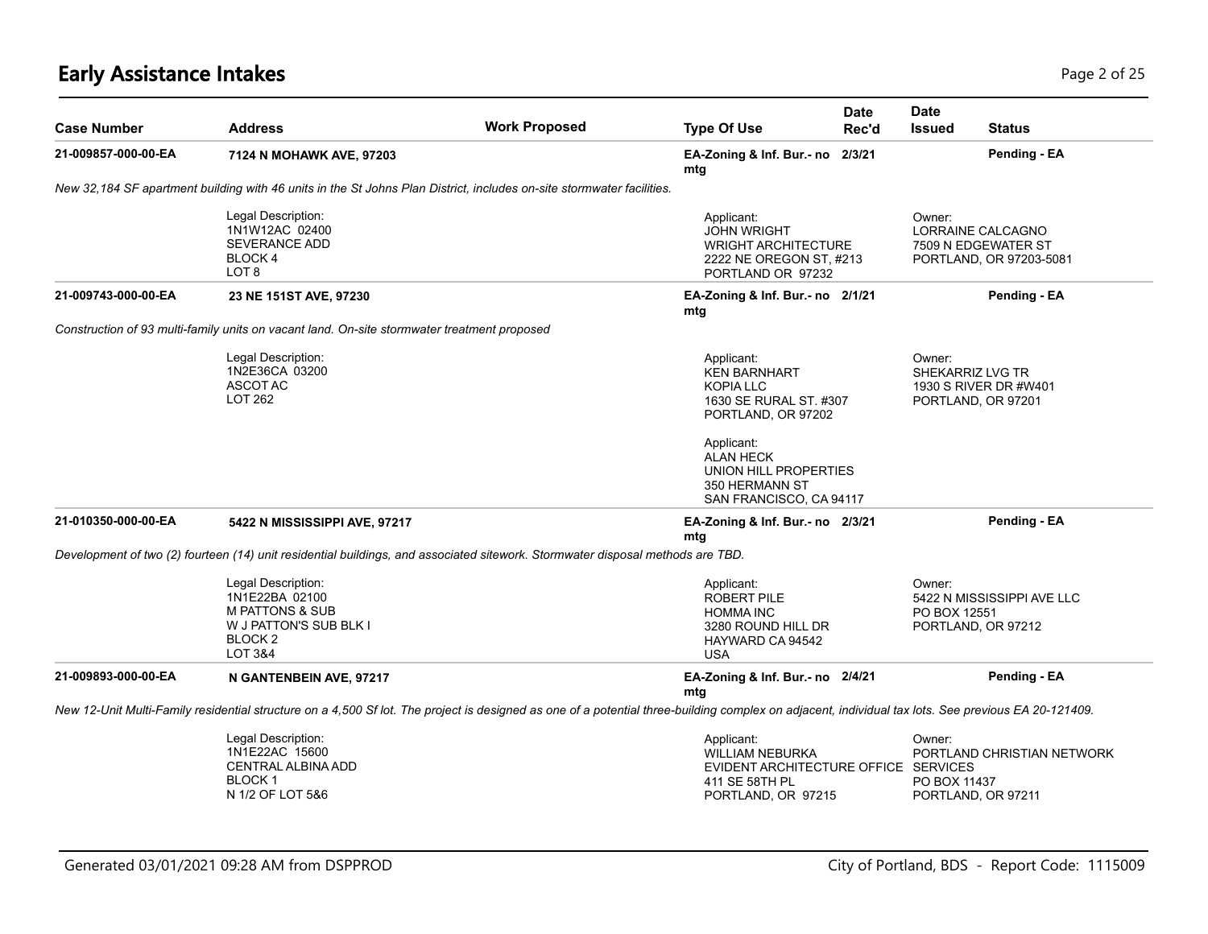# **Early Assistance Intakes** Page 2 of 25

| <b>Case Number</b>  | <b>Address</b>                                                                                                                                                                                      | <b>Work Proposed</b> | <b>Date</b><br><b>Type Of Use</b><br>Rec'd                                                                     | <b>Date</b><br><b>Issued</b> | <b>Status</b>                                                       |
|---------------------|-----------------------------------------------------------------------------------------------------------------------------------------------------------------------------------------------------|----------------------|----------------------------------------------------------------------------------------------------------------|------------------------------|---------------------------------------------------------------------|
| 21-009857-000-00-EA | 7124 N MOHAWK AVE, 97203                                                                                                                                                                            |                      | EA-Zoning & Inf. Bur.- no 2/3/21<br>mtg                                                                        |                              | Pending - EA                                                        |
|                     | New 32,184 SF apartment building with 46 units in the St Johns Plan District, includes on-site stormwater facilities.                                                                               |                      |                                                                                                                |                              |                                                                     |
|                     | Legal Description:<br>1N1W12AC 02400<br><b>SEVERANCE ADD</b><br>BLOCK 4<br>LOT <sub>8</sub>                                                                                                         |                      | Applicant:<br><b>JOHN WRIGHT</b><br><b>WRIGHT ARCHITECTURE</b><br>2222 NE OREGON ST, #213<br>PORTLAND OR 97232 | Owner:                       | LORRAINE CALCAGNO<br>7509 N EDGEWATER ST<br>PORTLAND, OR 97203-5081 |
| 21-009743-000-00-EA | 23 NE 151ST AVE, 97230                                                                                                                                                                              |                      | EA-Zoning & Inf. Bur.- no 2/1/21<br>mtg                                                                        |                              | Pending - EA                                                        |
|                     | Construction of 93 multi-family units on vacant land. On-site stormwater treatment proposed                                                                                                         |                      |                                                                                                                |                              |                                                                     |
|                     | Legal Description:<br>1N2E36CA 03200<br>ASCOT AC<br>LOT 262                                                                                                                                         |                      | Applicant:<br><b>KEN BARNHART</b><br><b>KOPIA LLC</b><br>1630 SE RURAL ST. #307<br>PORTLAND, OR 97202          | Owner:                       | SHEKARRIZ LVG TR<br>1930 S RIVER DR #W401<br>PORTLAND, OR 97201     |
|                     |                                                                                                                                                                                                     |                      | Applicant:<br><b>ALAN HECK</b><br>UNION HILL PROPERTIES<br>350 HERMANN ST<br>SAN FRANCISCO, CA 94117           |                              |                                                                     |
| 21-010350-000-00-EA | 5422 N MISSISSIPPI AVE, 97217                                                                                                                                                                       |                      | EA-Zoning & Inf. Bur. - no 2/3/21<br>mtg                                                                       |                              | Pending - EA                                                        |
|                     | Development of two (2) fourteen (14) unit residential buildings, and associated sitework. Stormwater disposal methods are TBD.                                                                      |                      |                                                                                                                |                              |                                                                     |
|                     | Legal Description:<br>1N1E22BA 02100<br><b>M PATTONS &amp; SUB</b><br>W J PATTON'S SUB BLK I<br>BLOCK <sub>2</sub><br><b>LOT 3&amp;4</b>                                                            |                      | Applicant:<br>ROBERT PILE<br><b>HOMMA INC</b><br>3280 ROUND HILL DR<br>HAYWARD CA 94542<br><b>USA</b>          | Owner:                       | 5422 N MISSISSIPPI AVE LLC<br>PO BOX 12551<br>PORTLAND, OR 97212    |
| 21-009893-000-00-EA | N GANTENBEIN AVE, 97217                                                                                                                                                                             |                      | EA-Zoning & Inf. Bur.- no 2/4/21<br>mtg                                                                        |                              | Pending - EA                                                        |
|                     | New 12-Unit Multi-Family residential structure on a 4,500 Sf lot. The project is designed as one of a potential three-building complex on adjacent, individual tax lots. See previous EA 20-121409. |                      |                                                                                                                |                              |                                                                     |
|                     | Legal Description:<br>1N1E22AC 15600<br><b>CENTRAL ALBINA ADD</b><br>BLOCK 1<br>N 1/2 OF LOT 5&6                                                                                                    |                      | Applicant:<br>WILLIAM NEBURKA<br>EVIDENT ARCHITECTURE OFFICE SERVICES<br>411 SE 58TH PL<br>PORTLAND, OR 97215  | Owner:                       | PORTLAND CHRISTIAN NETWORK<br>PO BOX 11437<br>PORTLAND, OR 97211    |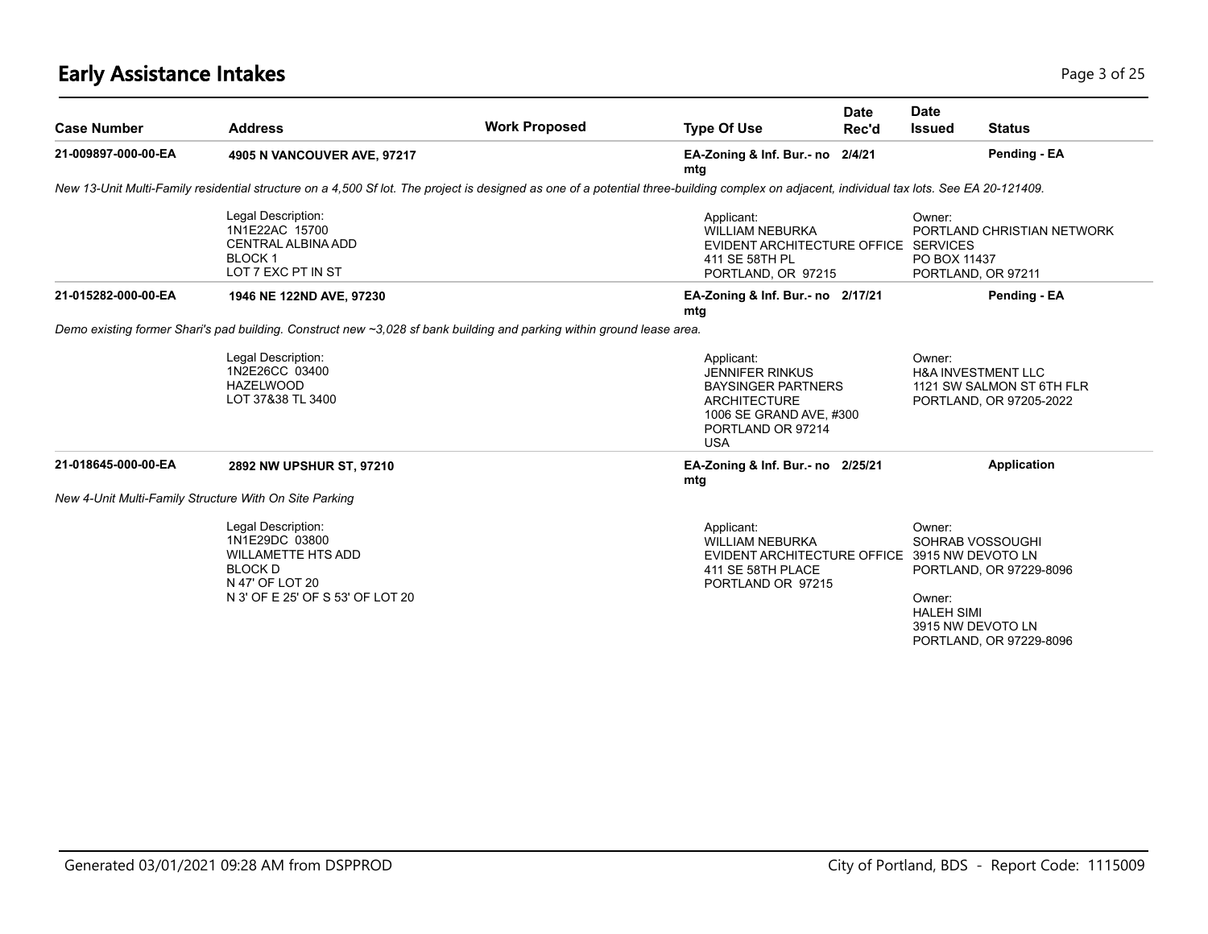# **Early Assistance Intakes** Page 3 of 25

| <b>Case Number</b>                                     | <b>Address</b>                                                                                                                                                                             | <b>Work Proposed</b> | <b>Type Of Use</b>                                                                                                                                     | <b>Date</b><br>Rec'd | <b>Date</b><br><b>Issued</b>                                                   | <b>Status</b>                                        |
|--------------------------------------------------------|--------------------------------------------------------------------------------------------------------------------------------------------------------------------------------------------|----------------------|--------------------------------------------------------------------------------------------------------------------------------------------------------|----------------------|--------------------------------------------------------------------------------|------------------------------------------------------|
| 21-009897-000-00-EA                                    | 4905 N VANCOUVER AVE, 97217                                                                                                                                                                |                      | EA-Zoning & Inf. Bur.- no 2/4/21<br>mtg                                                                                                                |                      |                                                                                | Pending - EA                                         |
|                                                        | New 13-Unit Multi-Family residential structure on a 4,500 Sf lot. The project is designed as one of a potential three-building complex on adjacent, individual tax lots. See EA 20-121409. |                      |                                                                                                                                                        |                      |                                                                                |                                                      |
|                                                        | Legal Description:<br>1N1E22AC 15700<br><b>CENTRAL ALBINA ADD</b><br>BLOCK 1<br>LOT 7 EXC PT IN ST                                                                                         |                      | Applicant:<br><b>WILLIAM NEBURKA</b><br>EVIDENT ARCHITECTURE OFFICE SERVICES<br>411 SE 58TH PL<br>PORTLAND, OR 97215                                   |                      | Owner:<br>PO BOX 11437<br>PORTLAND, OR 97211                                   | PORTLAND CHRISTIAN NETWORK                           |
| 21-015282-000-00-EA                                    | 1946 NE 122ND AVE, 97230                                                                                                                                                                   |                      | EA-Zoning & Inf. Bur.- no 2/17/21<br>mtg                                                                                                               |                      | Pending - EA                                                                   |                                                      |
|                                                        | Demo existing former Shari's pad building. Construct new ~3,028 sf bank building and parking within ground lease area.                                                                     |                      |                                                                                                                                                        |                      |                                                                                |                                                      |
|                                                        | Legal Description:<br>1N2E26CC 03400<br><b>HAZELWOOD</b><br>LOT 37&38 TL 3400                                                                                                              |                      | Applicant:<br><b>JENNIFER RINKUS</b><br><b>BAYSINGER PARTNERS</b><br><b>ARCHITECTURE</b><br>1006 SE GRAND AVE, #300<br>PORTLAND OR 97214<br><b>USA</b> |                      | Owner:<br><b>H&amp;A INVESTMENT LLC</b>                                        | 1121 SW SALMON ST 6TH FLR<br>PORTLAND, OR 97205-2022 |
| 21-018645-000-00-EA                                    | 2892 NW UPSHUR ST, 97210                                                                                                                                                                   |                      | EA-Zoning & Inf. Bur.- no 2/25/21<br>mtg                                                                                                               |                      |                                                                                | <b>Application</b>                                   |
| New 4-Unit Multi-Family Structure With On Site Parking |                                                                                                                                                                                            |                      |                                                                                                                                                        |                      |                                                                                |                                                      |
|                                                        | Legal Description:<br>1N1E29DC 03800<br><b>WILLAMETTE HTS ADD</b><br><b>BLOCK D</b><br>N 47' OF LOT 20<br>N 3' OF E 25' OF S 53' OF LOT 20                                                 |                      | Applicant:<br><b>WILLIAM NEBURKA</b><br>EVIDENT ARCHITECTURE OFFICE 3915 NW DEVOTO LN<br>411 SE 58TH PLACE<br>PORTLAND OR 97215                        |                      | Owner:<br>SOHRAB VOSSOUGHI<br>Owner:<br><b>HALEH SIMI</b><br>3915 NW DEVOTO LN | PORTLAND, OR 97229-8096<br>PORTLAND, OR 97229-8096   |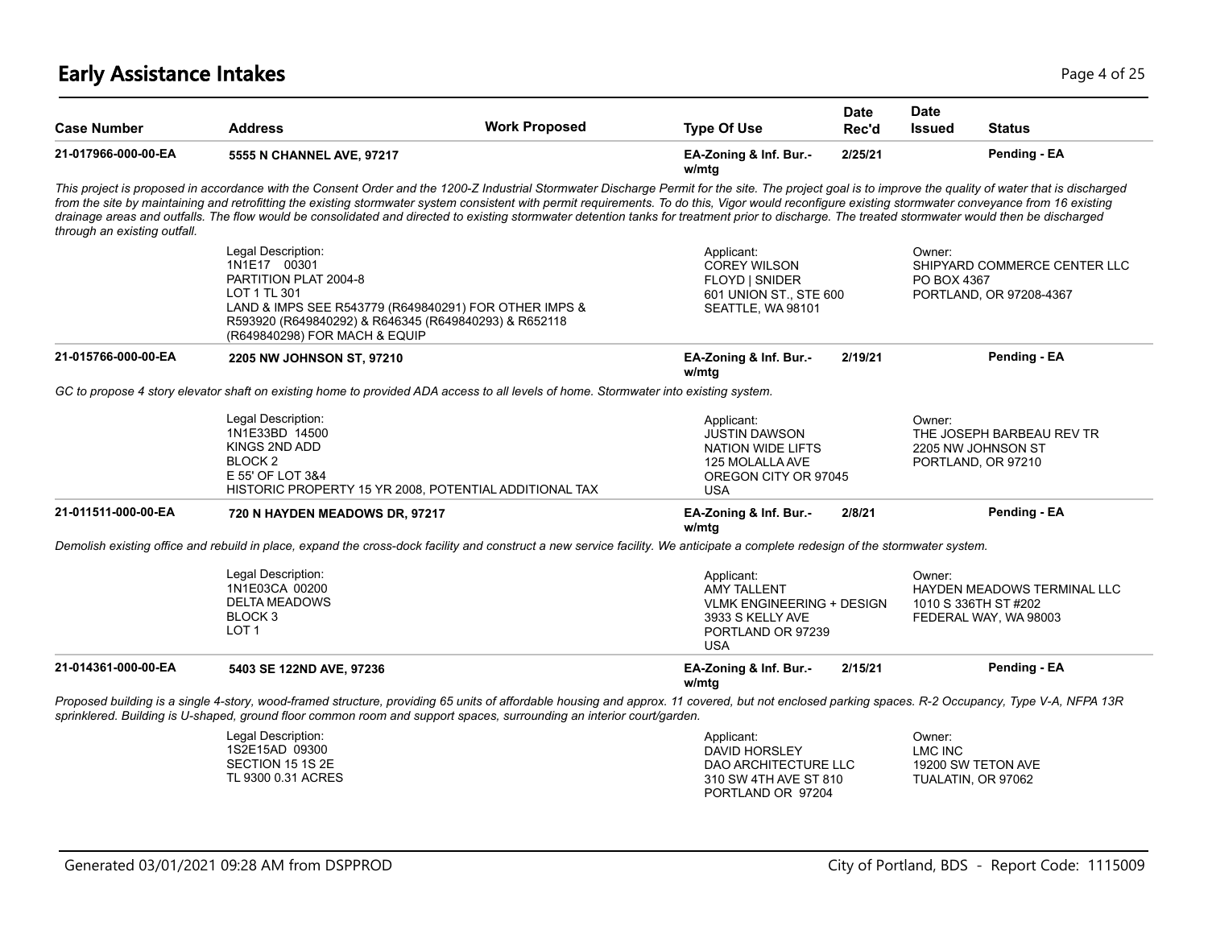# **Early Assistance Intakes** Page 4 of 25

| <b>Case Number</b>           | <b>Address</b>                                                                                                                                                                                                                                                                                                                                                                                                                                                                                                                                                                                                         | <b>Work Proposed</b> | <b>Type Of Use</b>                                                                                                          | <b>Date</b><br>Rec'd | <b>Date</b><br><b>Issued</b> | <b>Status</b>                                                                |
|------------------------------|------------------------------------------------------------------------------------------------------------------------------------------------------------------------------------------------------------------------------------------------------------------------------------------------------------------------------------------------------------------------------------------------------------------------------------------------------------------------------------------------------------------------------------------------------------------------------------------------------------------------|----------------------|-----------------------------------------------------------------------------------------------------------------------------|----------------------|------------------------------|------------------------------------------------------------------------------|
| 21-017966-000-00-EA          | 5555 N CHANNEL AVE, 97217                                                                                                                                                                                                                                                                                                                                                                                                                                                                                                                                                                                              |                      | EA-Zoning & Inf. Bur.-<br>w/mtg                                                                                             | 2/25/21              |                              | Pending - EA                                                                 |
| through an existing outfall. | This project is proposed in accordance with the Consent Order and the 1200-Z Industrial Stormwater Discharge Permit for the site. The project goal is to improve the quality of water that is discharged<br>from the site by maintaining and retrofitting the existing stormwater system consistent with permit requirements. To do this, Vigor would reconfigure existing stormwater conveyance from 16 existing<br>drainage areas and outfalls. The flow would be consolidated and directed to existing stormwater detention tanks for treatment prior to discharge. The treated stormwater would then be discharged |                      |                                                                                                                             |                      |                              |                                                                              |
|                              | Legal Description:<br>1N1E17 00301<br>PARTITION PLAT 2004-8<br>LOT 1 TL 301<br>LAND & IMPS SEE R543779 (R649840291) FOR OTHER IMPS &<br>R593920 (R649840292) & R646345 (R649840293) & R652118<br>(R649840298) FOR MACH & EQUIP                                                                                                                                                                                                                                                                                                                                                                                         |                      | Applicant:<br><b>COREY WILSON</b><br>FLOYD   SNIDER<br>601 UNION ST., STE 600<br>SEATTLE, WA 98101                          |                      | Owner:<br>PO BOX 4367        | SHIPYARD COMMERCE CENTER LLC<br>PORTLAND, OR 97208-4367                      |
| 21-015766-000-00-EA          | 2205 NW JOHNSON ST, 97210                                                                                                                                                                                                                                                                                                                                                                                                                                                                                                                                                                                              |                      | EA-Zoning & Inf. Bur.-<br>w/mtg                                                                                             | 2/19/21              |                              | Pending - EA                                                                 |
|                              | GC to propose 4 story elevator shaft on existing home to provided ADA access to all levels of home. Stormwater into existing system.                                                                                                                                                                                                                                                                                                                                                                                                                                                                                   |                      |                                                                                                                             |                      |                              |                                                                              |
|                              | Legal Description:<br>1N1E33BD 14500<br>KINGS 2ND ADD<br>BLOCK <sub>2</sub><br>E 55' OF LOT 3&4<br>HISTORIC PROPERTY 15 YR 2008, POTENTIAL ADDITIONAL TAX                                                                                                                                                                                                                                                                                                                                                                                                                                                              |                      | Applicant:<br><b>JUSTIN DAWSON</b><br>NATION WIDE LIFTS<br>125 MOLALLA AVE<br>OREGON CITY OR 97045<br><b>USA</b>            |                      | Owner:                       | THE JOSEPH BARBEAU REV TR<br>2205 NW JOHNSON ST<br>PORTLAND, OR 97210        |
| 21-011511-000-00-EA          | 720 N HAYDEN MEADOWS DR, 97217                                                                                                                                                                                                                                                                                                                                                                                                                                                                                                                                                                                         |                      | EA-Zoning & Inf. Bur.-<br>w/mtg                                                                                             | 2/8/21               | Pending - EA                 |                                                                              |
|                              | Demolish existing office and rebuild in place, expand the cross-dock facility and construct a new service facility. We anticipate a complete redesign of the stormwater system.                                                                                                                                                                                                                                                                                                                                                                                                                                        |                      |                                                                                                                             |                      |                              |                                                                              |
|                              | Legal Description:<br>1N1E03CA 00200<br><b>DELTA MEADOWS</b><br>BLOCK 3<br>LOT <sub>1</sub>                                                                                                                                                                                                                                                                                                                                                                                                                                                                                                                            |                      | Applicant:<br><b>AMY TALLENT</b><br><b>VLMK ENGINEERING + DESIGN</b><br>3933 S KELLY AVE<br>PORTLAND OR 97239<br><b>USA</b> |                      | Owner:                       | HAYDEN MEADOWS TERMINAL LLC<br>1010 S 336TH ST #202<br>FEDERAL WAY, WA 98003 |
| 21-014361-000-00-EA          | 5403 SE 122ND AVE, 97236                                                                                                                                                                                                                                                                                                                                                                                                                                                                                                                                                                                               |                      | EA-Zoning & Inf. Bur.-<br>w/mtg                                                                                             | 2/15/21              |                              | Pending - EA                                                                 |
|                              | Proposed building is a single 4-story, wood-framed structure, providing 65 units of affordable housing and approx. 11 covered, but not enclosed parking spaces. R-2 Occupancy, Type V-A, NFPA 13R<br>sprinklered. Building is U-shaped, ground floor common room and support spaces, surrounding an interior court/garden.                                                                                                                                                                                                                                                                                             |                      |                                                                                                                             |                      |                              |                                                                              |
|                              | Legal Description:<br>1S2E15AD 09300<br>SECTION 15 1S 2E<br>TL 9300 0.31 ACRES                                                                                                                                                                                                                                                                                                                                                                                                                                                                                                                                         |                      | Applicant:<br>DAVID HORSLEY<br>DAO ARCHITECTURE LLC<br>310 SW 4TH AVE ST 810<br>PORTLAND OR 97204                           |                      | Owner:<br>LMC INC            | 19200 SW TETON AVE<br>TUALATIN, OR 97062                                     |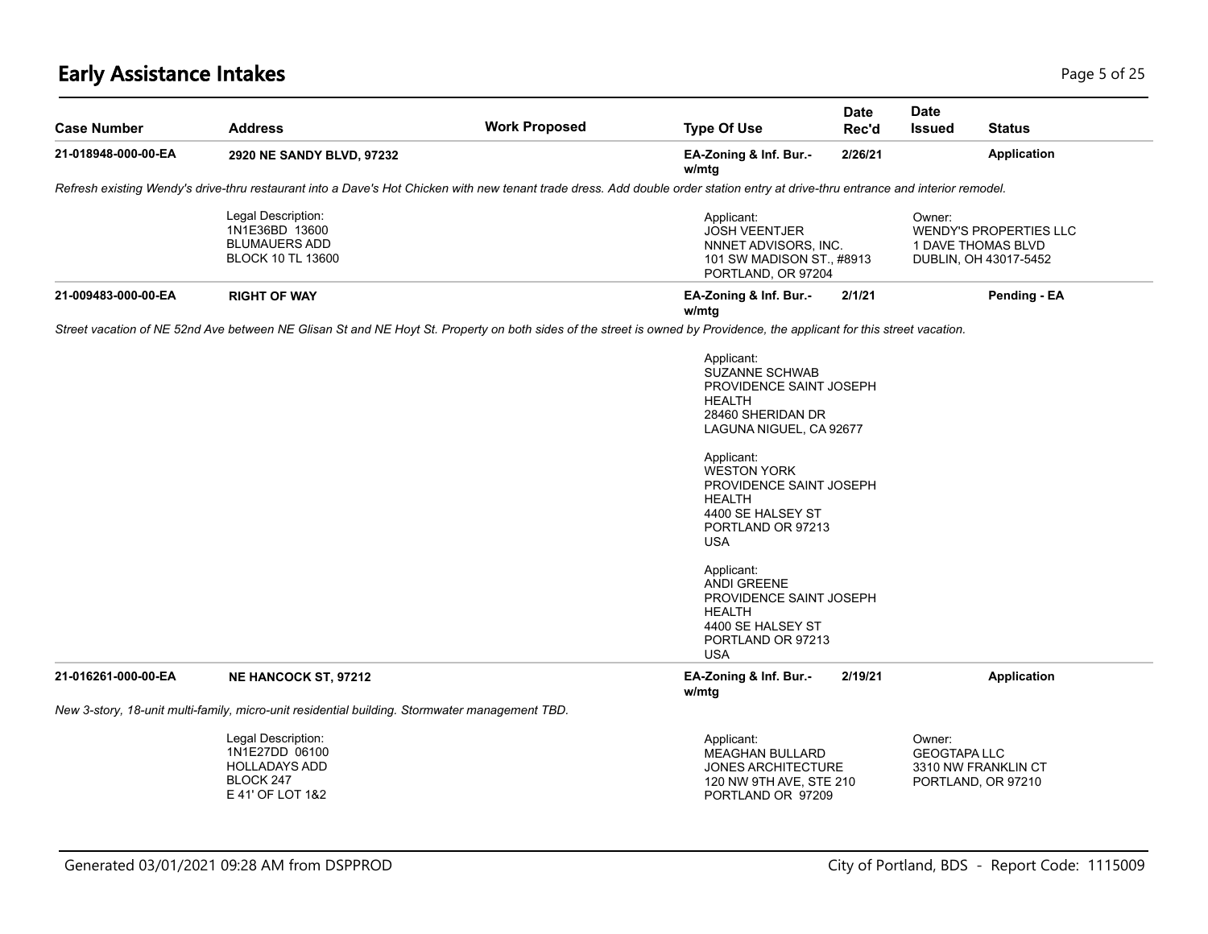# **Early Assistance Intakes** Page 5 of 25

| <b>Case Number</b>  | <b>Address</b>                                                                                                                                                                    | <b>Work Proposed</b> | <b>Type Of Use</b>                                                                                                                                                                                                                                                                                                                                                                         | <b>Date</b><br>Rec'd | Date<br><b>Issued</b>                                                                         | <b>Status</b>                             |
|---------------------|-----------------------------------------------------------------------------------------------------------------------------------------------------------------------------------|----------------------|--------------------------------------------------------------------------------------------------------------------------------------------------------------------------------------------------------------------------------------------------------------------------------------------------------------------------------------------------------------------------------------------|----------------------|-----------------------------------------------------------------------------------------------|-------------------------------------------|
| 21-018948-000-00-EA | 2920 NE SANDY BLVD, 97232                                                                                                                                                         |                      | EA-Zoning & Inf. Bur.-<br>w/mtg                                                                                                                                                                                                                                                                                                                                                            | 2/26/21              |                                                                                               | <b>Application</b>                        |
|                     | Refresh existing Wendy's drive-thru restaurant into a Dave's Hot Chicken with new tenant trade dress. Add double order station entry at drive-thru entrance and interior remodel. |                      |                                                                                                                                                                                                                                                                                                                                                                                            |                      |                                                                                               |                                           |
|                     | Legal Description:<br>1N1E36BD 13600<br><b>BLUMAUERS ADD</b><br><b>BLOCK 10 TL 13600</b>                                                                                          |                      | Applicant:<br><b>JOSH VEENTJER</b><br>NNNET ADVISORS, INC.<br>101 SW MADISON ST., #8913<br>PORTLAND, OR 97204                                                                                                                                                                                                                                                                              |                      | Owner:<br><b>WENDY'S PROPERTIES LLC</b><br><b>1 DAVE THOMAS BLVD</b><br>DUBLIN, OH 43017-5452 |                                           |
| 21-009483-000-00-EA | <b>RIGHT OF WAY</b>                                                                                                                                                               |                      | EA-Zoning & Inf. Bur.-<br>w/mtg                                                                                                                                                                                                                                                                                                                                                            | 2/1/21               |                                                                                               | Pending - EA                              |
|                     | Street vacation of NE 52nd Ave between NE Glisan St and NE Hoyt St. Property on both sides of the street is owned by Providence, the applicant for this street vacation.          |                      |                                                                                                                                                                                                                                                                                                                                                                                            |                      |                                                                                               |                                           |
|                     |                                                                                                                                                                                   |                      | Applicant:<br><b>SUZANNE SCHWAB</b><br>PROVIDENCE SAINT JOSEPH<br>HEALTH<br>28460 SHERIDAN DR<br>LAGUNA NIGUEL, CA 92677<br>Applicant:<br><b>WESTON YORK</b><br>PROVIDENCE SAINT JOSEPH<br><b>HEALTH</b><br>4400 SE HALSEY ST<br>PORTLAND OR 97213<br><b>USA</b><br>Applicant:<br><b>ANDI GREENE</b><br>PROVIDENCE SAINT JOSEPH<br>HEALTH<br>4400 SE HALSEY ST<br>PORTLAND OR 97213<br>USA |                      |                                                                                               |                                           |
| 21-016261-000-00-EA | <b>NE HANCOCK ST, 97212</b>                                                                                                                                                       |                      | EA-Zoning & Inf. Bur.-<br>w/mtg                                                                                                                                                                                                                                                                                                                                                            | 2/19/21              |                                                                                               | <b>Application</b>                        |
|                     | New 3-story, 18-unit multi-family, micro-unit residential building. Stormwater management TBD.                                                                                    |                      |                                                                                                                                                                                                                                                                                                                                                                                            |                      |                                                                                               |                                           |
|                     | Legal Description:<br>1N1E27DD 06100<br><b>HOLLADAYS ADD</b><br>BLOCK 247<br>E 41' OF LOT 1&2                                                                                     |                      | Applicant:<br><b>MEAGHAN BULLARD</b><br><b>JONES ARCHITECTURE</b><br>120 NW 9TH AVE, STE 210<br>PORTLAND OR 97209                                                                                                                                                                                                                                                                          |                      | Owner:<br><b>GEOGTAPA LLC</b>                                                                 | 3310 NW FRANKLIN CT<br>PORTLAND, OR 97210 |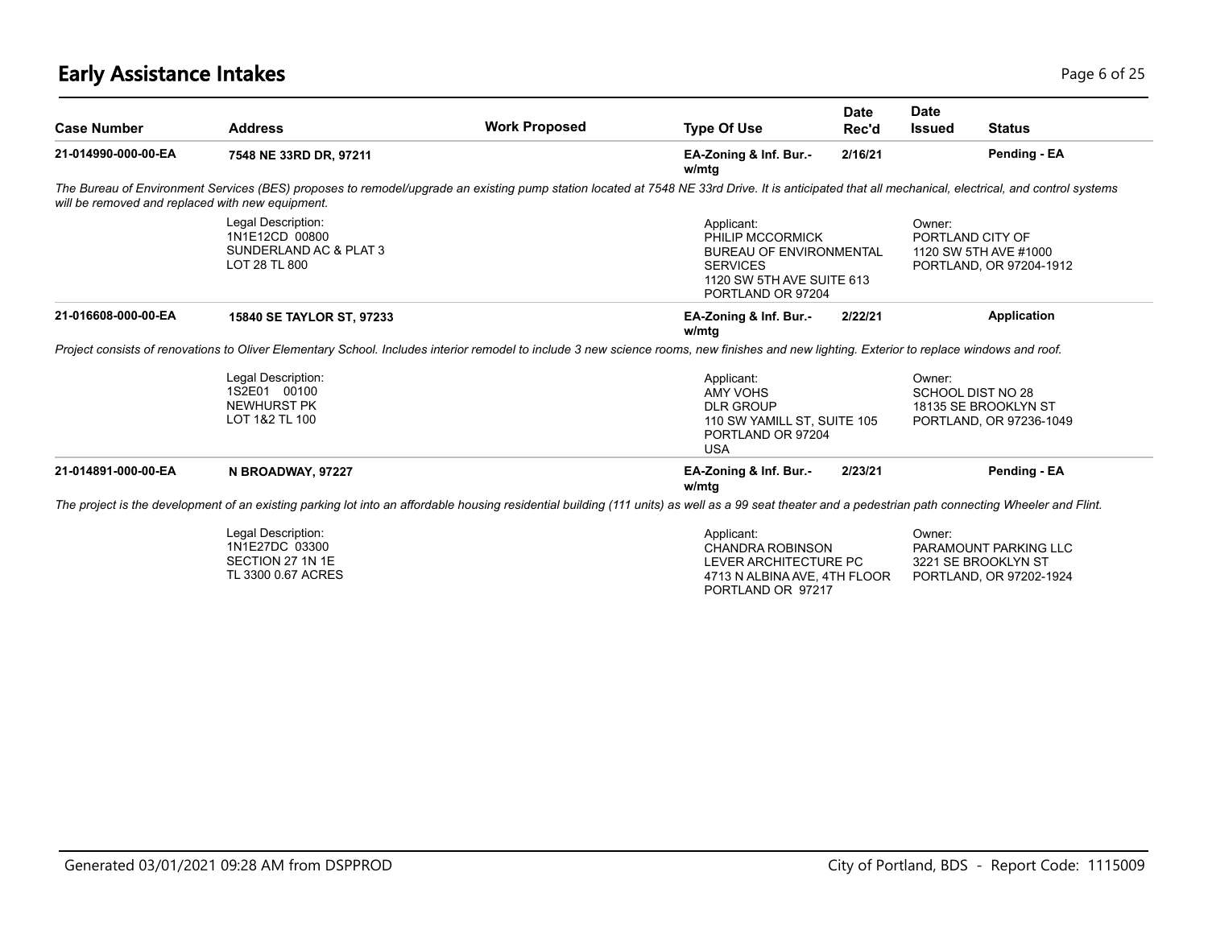# **Early Assistance Intakes** Page 6 of 25

| <b>Case Number</b>                               | <b>Address</b>                                                                                                                                                                                         | <b>Work Proposed</b> | <b>Type Of Use</b>                                                                                                             | <b>Date</b><br>Rec'd                             | <b>Date</b><br><b>Issued</b>                                                   | <b>Status</b>                                                           |  |
|--------------------------------------------------|--------------------------------------------------------------------------------------------------------------------------------------------------------------------------------------------------------|----------------------|--------------------------------------------------------------------------------------------------------------------------------|--------------------------------------------------|--------------------------------------------------------------------------------|-------------------------------------------------------------------------|--|
| 21-014990-000-00-EA                              | 7548 NE 33RD DR, 97211                                                                                                                                                                                 |                      | EA-Zoning & Inf. Bur.-<br>w/mtg                                                                                                | 2/16/21                                          |                                                                                | Pending - EA                                                            |  |
| will be removed and replaced with new equipment. | The Bureau of Environment Services (BES) proposes to remodel/upgrade an existing pump station located at 7548 NE 33rd Drive. It is anticipated that all mechanical, electrical, and control systems    |                      |                                                                                                                                |                                                  |                                                                                |                                                                         |  |
|                                                  | Legal Description:<br>1N1E12CD 00800<br>SUNDERLAND AC & PLAT 3<br>LOT 28 TL 800                                                                                                                        |                      | Applicant:<br>PHILIP MCCORMICK<br>BUREAU OF ENVIRONMENTAL<br><b>SERVICES</b><br>1120 SW 5TH AVE SUITE 613<br>PORTLAND OR 97204 |                                                  | Owner:<br>PORTLAND CITY OF<br>1120 SW 5TH AVE #1000<br>PORTLAND, OR 97204-1912 |                                                                         |  |
| 21-016608-000-00-EA                              | 15840 SE TAYLOR ST, 97233                                                                                                                                                                              |                      | EA-Zoning & Inf. Bur.-<br>w/mtg                                                                                                | 2/22/21                                          |                                                                                | Application                                                             |  |
|                                                  | Project consists of renovations to Oliver Elementary School. Includes interior remodel to include 3 new science rooms, new finishes and new lighting. Exterior to replace windows and roof.            |                      |                                                                                                                                |                                                  |                                                                                |                                                                         |  |
|                                                  | Legal Description:<br>1S2E01 00100<br>NEWHURST PK<br>LOT 1&2 TL 100                                                                                                                                    |                      | Applicant:<br><b>AMY VOHS</b><br><b>DLR GROUP</b><br><b>USA</b>                                                                | 110 SW YAMILL ST, SUITE 105<br>PORTLAND OR 97204 |                                                                                | SCHOOL DIST NO 28<br>18135 SE BROOKLYN ST<br>PORTLAND, OR 97236-1049    |  |
| 21-014891-000-00-EA                              | N BROADWAY, 97227                                                                                                                                                                                      |                      | EA-Zoning & Inf. Bur.-<br>w/mtg                                                                                                | 2/23/21                                          |                                                                                | Pending - EA                                                            |  |
|                                                  | The project is the development of an existing parking lot into an affordable housing residential building (111 units) as well as a 99 seat theater and a pedestrian path connecting Wheeler and Flint. |                      |                                                                                                                                |                                                  |                                                                                |                                                                         |  |
|                                                  | Legal Description:<br>1N1E27DC 03300<br>SECTION 27 1N 1E<br>TL 3300 0.67 ACRES                                                                                                                         |                      | Applicant:<br><b>CHANDRA ROBINSON</b><br>LEVER ARCHITECTURE PC<br>4713 N ALBINA AVE, 4TH FLOOR<br>PORTLAND OR 97217            |                                                  | Owner:                                                                         | PARAMOUNT PARKING LLC<br>3221 SE BROOKLYN ST<br>PORTLAND, OR 97202-1924 |  |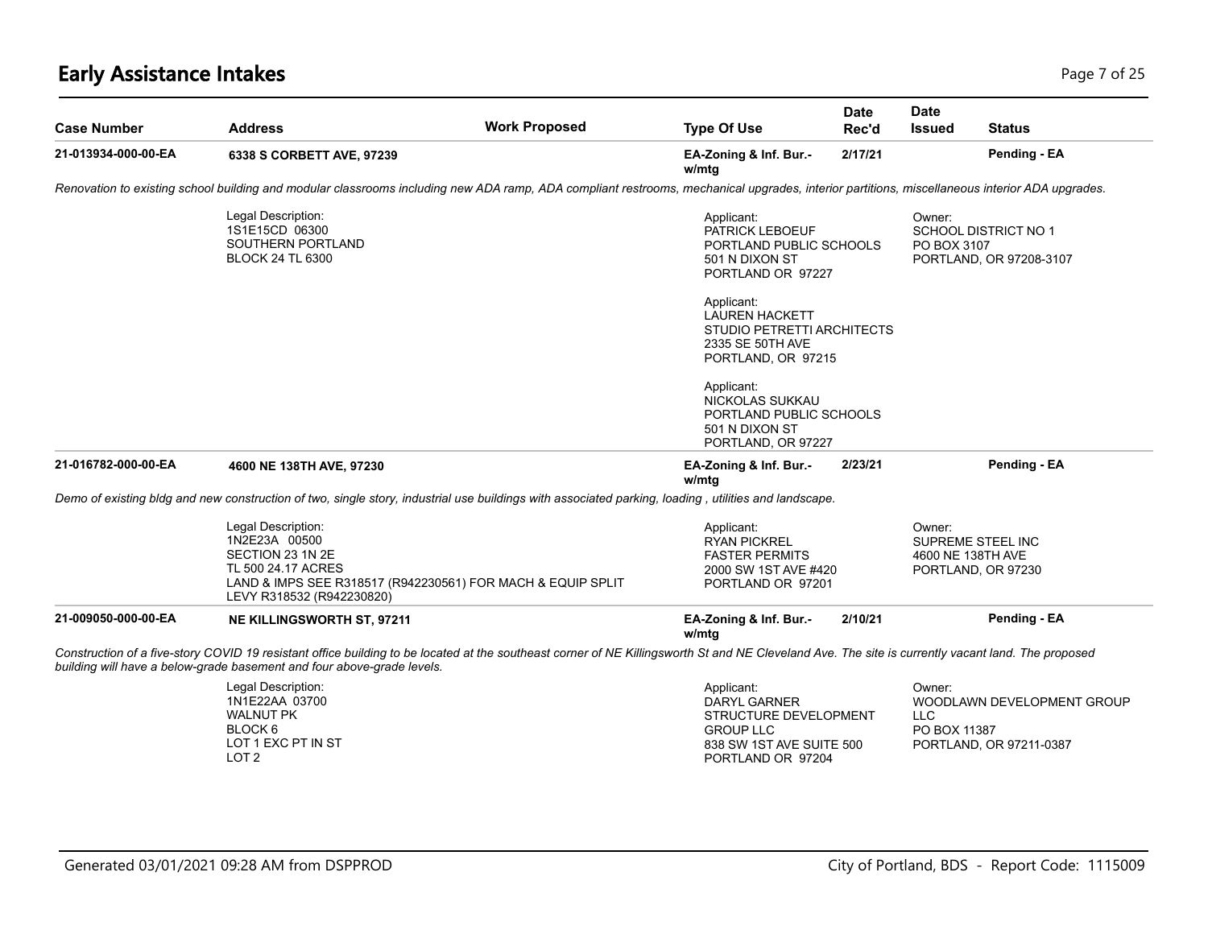# **Early Assistance Intakes** Page 7 of 25

| <b>Case Number</b>  | <b>Address</b>                                                                                                                                                            | <b>Work Proposed</b>                                                                                                                                                                               | <b>Type Of Use</b>                                                                                                       | <b>Date</b><br>Rec'd | Date<br>Issued                       | <b>Status</b>                                          |
|---------------------|---------------------------------------------------------------------------------------------------------------------------------------------------------------------------|----------------------------------------------------------------------------------------------------------------------------------------------------------------------------------------------------|--------------------------------------------------------------------------------------------------------------------------|----------------------|--------------------------------------|--------------------------------------------------------|
| 21-013934-000-00-EA | 6338 S CORBETT AVE, 97239                                                                                                                                                 |                                                                                                                                                                                                    | EA-Zoning & Inf. Bur.-<br>w/mtg                                                                                          | 2/17/21              |                                      | Pending - EA                                           |
|                     |                                                                                                                                                                           | Renovation to existing school building and modular classrooms including new ADA ramp, ADA compliant restrooms, mechanical upgrades, interior partitions, miscellaneous interior ADA upgrades.      |                                                                                                                          |                      |                                      |                                                        |
|                     | Legal Description:<br>1S1E15CD 06300<br>SOUTHERN PORTLAND<br><b>BLOCK 24 TL 6300</b>                                                                                      |                                                                                                                                                                                                    | Applicant:<br>PATRICK LEBOEUF<br>PORTLAND PUBLIC SCHOOLS<br>501 N DIXON ST<br>PORTLAND OR 97227                          |                      | Owner:<br>PO BOX 3107                | <b>SCHOOL DISTRICT NO 1</b><br>PORTLAND, OR 97208-3107 |
|                     |                                                                                                                                                                           |                                                                                                                                                                                                    | Applicant:<br><b>LAUREN HACKETT</b><br>STUDIO PETRETTI ARCHITECTS<br>2335 SE 50TH AVE<br>PORTLAND, OR 97215              |                      |                                      |                                                        |
|                     |                                                                                                                                                                           |                                                                                                                                                                                                    | Applicant:<br>NICKOLAS SUKKAU<br>PORTLAND PUBLIC SCHOOLS<br>501 N DIXON ST<br>PORTLAND, OR 97227                         |                      |                                      |                                                        |
| 21-016782-000-00-EA | 4600 NE 138TH AVE, 97230                                                                                                                                                  |                                                                                                                                                                                                    | EA-Zoning & Inf. Bur.-<br>w/mtg                                                                                          | 2/23/21              |                                      | Pending - EA                                           |
|                     |                                                                                                                                                                           | Demo of existing bldg and new construction of two, single story, industrial use buildings with associated parking, loading, utilities and landscape.                                               |                                                                                                                          |                      |                                      |                                                        |
|                     | Legal Description:<br>1N2E23A 00500<br>SECTION 23 1N 2E<br>TL 500 24.17 ACRES<br>LAND & IMPS SEE R318517 (R942230561) FOR MACH & EQUIP SPLIT<br>LEVY R318532 (R942230820) |                                                                                                                                                                                                    | Applicant:<br><b>RYAN PICKREL</b><br><b>FASTER PERMITS</b><br>2000 SW 1ST AVE #420<br>PORTLAND OR 97201                  |                      | Owner:<br>4600 NE 138TH AVE          | SUPREME STEEL INC<br>PORTLAND, OR 97230                |
| 21-009050-000-00-EA | <b>NE KILLINGSWORTH ST, 97211</b>                                                                                                                                         |                                                                                                                                                                                                    | EA-Zoning & Inf. Bur.-<br>w/mta                                                                                          | 2/10/21              |                                      | Pending - EA                                           |
|                     | building will have a below-grade basement and four above-grade levels.                                                                                                    | Construction of a five-story COVID 19 resistant office building to be located at the southeast corner of NE Killingsworth St and NE Cleveland Ave. The site is currently vacant land. The proposed |                                                                                                                          |                      |                                      |                                                        |
|                     | Legal Description:<br>1N1E22AA 03700<br><b>WALNUT PK</b><br>BLOCK <sub>6</sub><br>LOT 1 EXC PT IN ST<br>LOT <sub>2</sub>                                                  |                                                                                                                                                                                                    | Applicant:<br>DARYL GARNER<br>STRUCTURE DEVELOPMENT<br><b>GROUP LLC</b><br>838 SW 1ST AVE SUITE 500<br>PORTLAND OR 97204 |                      | Owner:<br><b>LLC</b><br>PO BOX 11387 | WOODLAWN DEVELOPMENT GROUP<br>PORTLAND, OR 97211-0387  |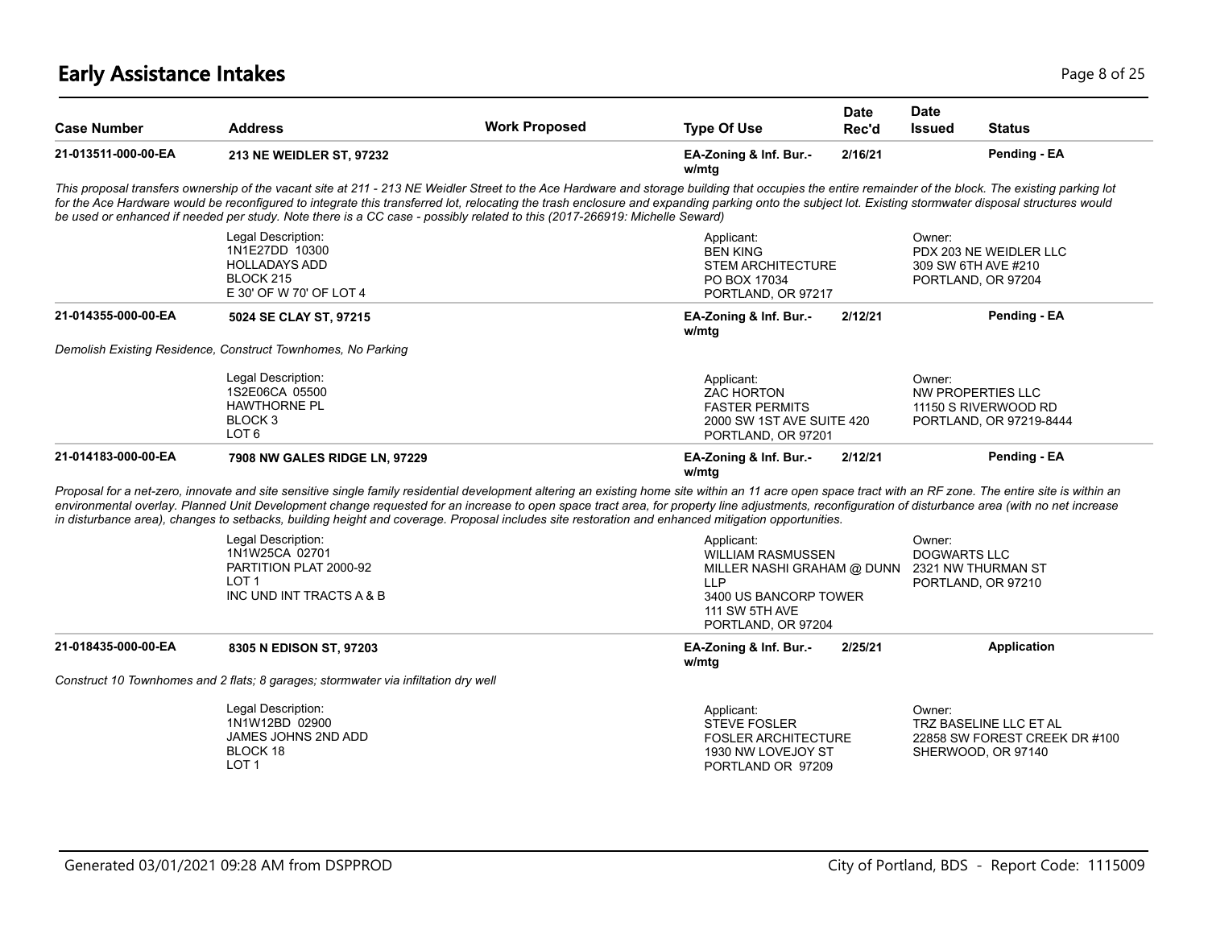# **Early Assistance Intakes** Page 8 of 25

| <b>Case Number</b>  | <b>Address</b>                                                                                                                                                                                                                                                                                                                                                                                                                                                                                                                                                          | <b>Work Proposed</b> | <b>Type Of Use</b>                                                                                         | <b>Date</b><br>Rec'd                                                                               | Date<br><b>Issued</b>                               | <b>Status</b>                                                                  |  |
|---------------------|-------------------------------------------------------------------------------------------------------------------------------------------------------------------------------------------------------------------------------------------------------------------------------------------------------------------------------------------------------------------------------------------------------------------------------------------------------------------------------------------------------------------------------------------------------------------------|----------------------|------------------------------------------------------------------------------------------------------------|----------------------------------------------------------------------------------------------------|-----------------------------------------------------|--------------------------------------------------------------------------------|--|
| 21-013511-000-00-EA | 213 NE WEIDLER ST, 97232                                                                                                                                                                                                                                                                                                                                                                                                                                                                                                                                                |                      | EA-Zoning & Inf. Bur.-<br>w/mtg                                                                            | 2/16/21                                                                                            |                                                     | Pending - EA                                                                   |  |
|                     | This proposal transfers ownership of the vacant site at 211 - 213 NE Weidler Street to the Ace Hardware and storage building that occupies the entire remainder of the block. The existing parking lot<br>for the Ace Hardware would be reconfigured to integrate this transferred lot, relocating the trash enclosure and expanding parking onto the subject lot. Existing stormwater disposal structures would<br>be used or enhanced if needed per study. Note there is a CC case - possibly related to this (2017-266919: Michelle Seward)                          |                      |                                                                                                            |                                                                                                    |                                                     |                                                                                |  |
|                     | Legal Description:<br>1N1E27DD 10300<br><b>HOLLADAYS ADD</b><br>BLOCK 215<br>E 30' OF W 70' OF LOT 4                                                                                                                                                                                                                                                                                                                                                                                                                                                                    |                      | Applicant:<br><b>BEN KING</b><br><b>STEM ARCHITECTURE</b><br>PO BOX 17034<br>PORTLAND, OR 97217            |                                                                                                    | Owner:<br>309 SW 6TH AVE #210<br>PORTLAND, OR 97204 | PDX 203 NE WEIDLER LLC                                                         |  |
| 21-014355-000-00-EA | 5024 SE CLAY ST, 97215                                                                                                                                                                                                                                                                                                                                                                                                                                                                                                                                                  |                      | EA-Zoning & Inf. Bur.-<br>w/mtg                                                                            | 2/12/21                                                                                            |                                                     | Pending - EA                                                                   |  |
|                     | Demolish Existing Residence, Construct Townhomes, No Parking                                                                                                                                                                                                                                                                                                                                                                                                                                                                                                            |                      |                                                                                                            |                                                                                                    |                                                     |                                                                                |  |
|                     | Legal Description:<br>1S2E06CA 05500<br><b>HAWTHORNE PL</b><br>BLOCK <sub>3</sub><br>LOT <sub>6</sub>                                                                                                                                                                                                                                                                                                                                                                                                                                                                   |                      | Applicant:<br>ZAC HORTON<br><b>FASTER PERMITS</b>                                                          | 2000 SW 1ST AVE SUITE 420<br>PORTLAND, OR 97201                                                    |                                                     | Owner:<br>NW PROPERTIES LLC<br>11150 S RIVERWOOD RD<br>PORTLAND, OR 97219-8444 |  |
| 21-014183-000-00-EA | 7908 NW GALES RIDGE LN, 97229                                                                                                                                                                                                                                                                                                                                                                                                                                                                                                                                           |                      | EA-Zoning & Inf. Bur.-<br>w/mtg                                                                            | 2/12/21                                                                                            |                                                     | Pending - EA                                                                   |  |
|                     | Proposal for a net-zero, innovate and site sensitive single family residential development altering an existing home site within an 11 acre open space tract with an RF zone. The entire site is within an<br>environmental overlay. Planned Unit Development change requested for an increase to open space tract area, for property line adjustments, reconfiguration of disturbance area (with no net increase<br>in disturbance area), changes to setbacks, building height and coverage. Proposal includes site restoration and enhanced mitigation opportunities. |                      |                                                                                                            |                                                                                                    |                                                     |                                                                                |  |
|                     | Legal Description:<br>1N1W25CA 02701<br>PARTITION PLAT 2000-92<br>LOT <sub>1</sub><br>INC UND INT TRACTS A & B                                                                                                                                                                                                                                                                                                                                                                                                                                                          |                      | Applicant:<br><b>LLP</b><br><b>111 SW 5TH AVE</b><br>PORTLAND, OR 97204                                    | <b>WILLIAM RASMUSSEN</b><br>MILLER NASHI GRAHAM @ DUNN 2321 NW THURMAN ST<br>3400 US BANCORP TOWER |                                                     | Owner:<br><b>DOGWARTS LLC</b><br>PORTLAND, OR 97210                            |  |
| 21-018435-000-00-EA | 8305 N EDISON ST, 97203                                                                                                                                                                                                                                                                                                                                                                                                                                                                                                                                                 |                      | EA-Zoning & Inf. Bur.-<br>w/mtg                                                                            | 2/25/21                                                                                            |                                                     | Application                                                                    |  |
|                     | Construct 10 Townhomes and 2 flats; 8 garages; stormwater via infiltation dry well                                                                                                                                                                                                                                                                                                                                                                                                                                                                                      |                      |                                                                                                            |                                                                                                    |                                                     |                                                                                |  |
|                     | Legal Description:<br>1N1W12BD 02900<br>JAMES JOHNS 2ND ADD<br>BLOCK 18<br>LOT <sub>1</sub>                                                                                                                                                                                                                                                                                                                                                                                                                                                                             |                      | Applicant:<br><b>STEVE FOSLER</b><br><b>FOSLER ARCHITECTURE</b><br>1930 NW LOVEJOY ST<br>PORTLAND OR 97209 |                                                                                                    | Owner:                                              | TRZ BASELINE LLC ET AL<br>22858 SW FOREST CREEK DR #100<br>SHERWOOD, OR 97140  |  |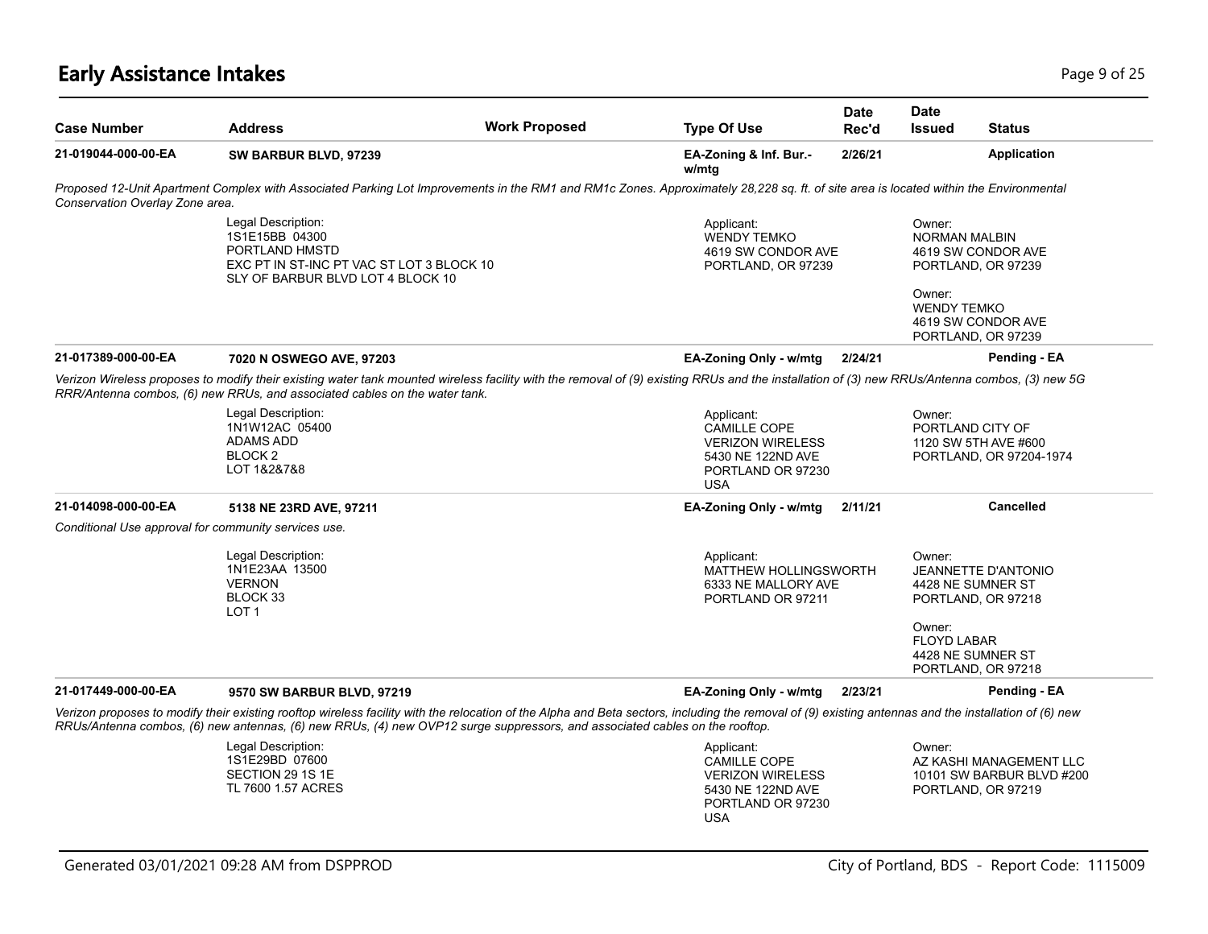#### **Early Assistance Intakes** Page 9 of 25

| <b>Case Number</b>                                   | <b>Address</b>                                                                                                                                                                                                                                                              | <b>Work Proposed</b> | <b>Type Of Use</b>                                                                                                   | Date<br>Rec'd | <b>Date</b><br><b>Issued</b>                            | <b>Status</b>                                                                                                    |
|------------------------------------------------------|-----------------------------------------------------------------------------------------------------------------------------------------------------------------------------------------------------------------------------------------------------------------------------|----------------------|----------------------------------------------------------------------------------------------------------------------|---------------|---------------------------------------------------------|------------------------------------------------------------------------------------------------------------------|
| 21-019044-000-00-EA                                  | SW BARBUR BLVD, 97239                                                                                                                                                                                                                                                       |                      | EA-Zoning & Inf. Bur.-<br>w/mtg                                                                                      | 2/26/21       |                                                         | <b>Application</b>                                                                                               |
| Conservation Overlay Zone area.                      | Proposed 12-Unit Apartment Complex with Associated Parking Lot Improvements in the RM1 and RM1c Zones. Approximately 28,228 sq. ft. of site area is located within the Environmental                                                                                        |                      |                                                                                                                      |               |                                                         |                                                                                                                  |
|                                                      | Legal Description:<br>1S1E15BB 04300<br>PORTLAND HMSTD<br>EXC PT IN ST-INC PT VAC ST LOT 3 BLOCK 10<br>SLY OF BARBUR BLVD LOT 4 BLOCK 10                                                                                                                                    |                      | Applicant:<br><b>WENDY TEMKO</b><br>4619 SW CONDOR AVE<br>PORTLAND, OR 97239                                         |               | Owner:<br>NORMAN MALBIN<br>Owner:<br><b>WENDY TEMKO</b> | 4619 SW CONDOR AVE<br>PORTLAND, OR 97239<br>4619 SW CONDOR AVE<br>PORTLAND, OR 97239                             |
| 21-017389-000-00-EA                                  | 7020 N OSWEGO AVE, 97203                                                                                                                                                                                                                                                    |                      | EA-Zoning Only - w/mtg                                                                                               | 2/24/21       |                                                         | Pending - EA                                                                                                     |
|                                                      | Verizon Wireless proposes to modify their existing water tank mounted wireless facility with the removal of (9) existing RRUs and the installation of (3) new RRUs/Antenna combos, (3) new 5G<br>RRR/Antenna combos, (6) new RRUs, and associated cables on the water tank. |                      |                                                                                                                      |               |                                                         |                                                                                                                  |
|                                                      | Legal Description:<br>1N1W12AC 05400<br><b>ADAMS ADD</b><br>BLOCK <sub>2</sub><br>LOT 1&2&7&8                                                                                                                                                                               |                      | Applicant:<br><b>CAMILLE COPE</b><br><b>VERIZON WIRELESS</b><br>5430 NE 122ND AVE<br>PORTLAND OR 97230<br><b>USA</b> |               | Owner:                                                  | PORTLAND CITY OF<br>1120 SW 5TH AVE #600<br>PORTLAND, OR 97204-1974                                              |
| 21-014098-000-00-EA                                  | 5138 NE 23RD AVE, 97211                                                                                                                                                                                                                                                     |                      | EA-Zoning Only - w/mtg                                                                                               | 2/11/21       |                                                         | <b>Cancelled</b>                                                                                                 |
| Conditional Use approval for community services use. |                                                                                                                                                                                                                                                                             |                      |                                                                                                                      |               |                                                         |                                                                                                                  |
|                                                      | Legal Description:<br>1N1E23AA 13500<br><b>VERNON</b><br>BLOCK 33<br>LOT <sub>1</sub>                                                                                                                                                                                       |                      | Applicant:<br><b>MATTHEW HOLLINGSWORTH</b><br>6333 NE MALLORY AVE<br>PORTLAND OR 97211                               |               | Owner:<br>Owner:<br><b>FLOYD LABAR</b>                  | <b>JEANNETTE D'ANTONIO</b><br>4428 NE SUMNER ST<br>PORTLAND, OR 97218<br>4428 NE SUMNER ST<br>PORTLAND, OR 97218 |
| 21-017449-000-00-EA                                  | 9570 SW BARBUR BLVD, 97219                                                                                                                                                                                                                                                  |                      | EA-Zoning Only - w/mtg                                                                                               | 2/23/21       |                                                         | Pending - EA                                                                                                     |
|                                                      | Verizon proposes to modify their existing rooftop wireless facility with the relocation of the Alpha and Beta sectors, including the removal of (9) existing antennas and the installation of (6) new                                                                       |                      |                                                                                                                      |               |                                                         |                                                                                                                  |
|                                                      | RRUs/Antenna combos, (6) new antennas, (6) new RRUs, (4) new OVP12 surge suppressors, and associated cables on the rooftop.                                                                                                                                                 |                      |                                                                                                                      |               |                                                         |                                                                                                                  |
|                                                      | Legal Description:                                                                                                                                                                                                                                                          |                      | Applicant:                                                                                                           |               | Owner:                                                  |                                                                                                                  |

SECTION 29 1S 1E TL 7600 1.57 ACRES

1S1E29BD 07600

Applicant: CAMILLE COPE VERIZON WIRELESS 5430 NE 122ND AVE PORTLAND OR 97230 USA

Owner: AZ KASHI MANAGEMENT LLC 10101 SW BARBUR BLVD #200 PORTLAND, OR 97219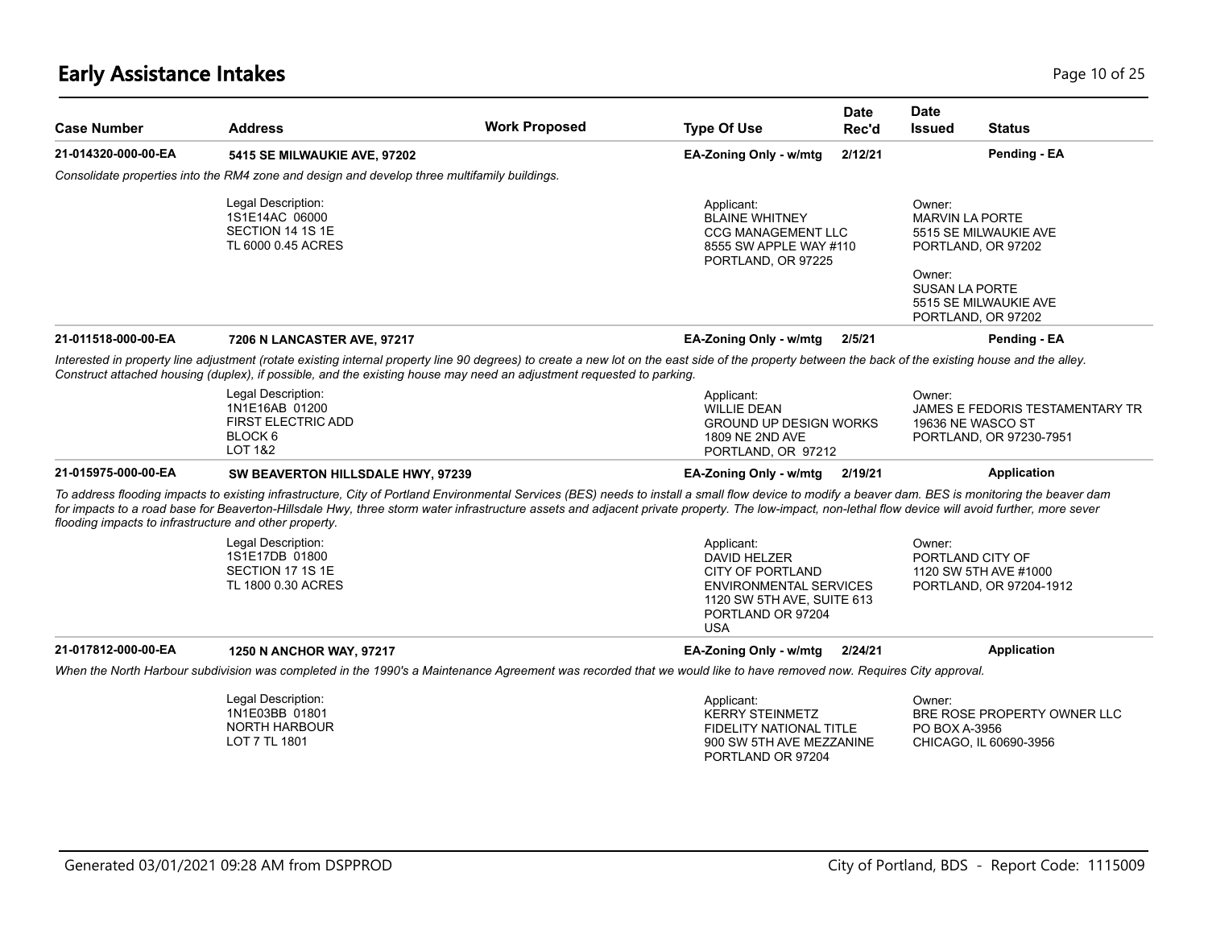| <b>Case Number</b>                                                             | <b>Address</b>                                                                                                                                                                                                                                                                                                                                                                                              | <b>Work Proposed</b>                                                                                             | <b>Type Of Use</b>                                                                                                                                      | <b>Date</b><br>Rec'd                                                                                                                                              | <b>Date</b><br><b>Issued</b>                        | <b>Status</b>                                              |
|--------------------------------------------------------------------------------|-------------------------------------------------------------------------------------------------------------------------------------------------------------------------------------------------------------------------------------------------------------------------------------------------------------------------------------------------------------------------------------------------------------|------------------------------------------------------------------------------------------------------------------|---------------------------------------------------------------------------------------------------------------------------------------------------------|-------------------------------------------------------------------------------------------------------------------------------------------------------------------|-----------------------------------------------------|------------------------------------------------------------|
| 21-014320-000-00-EA                                                            | 5415 SE MILWAUKIE AVE, 97202                                                                                                                                                                                                                                                                                                                                                                                |                                                                                                                  | EA-Zoning Only - w/mtg                                                                                                                                  | 2/12/21                                                                                                                                                           |                                                     | Pending - EA                                               |
|                                                                                | Consolidate properties into the RM4 zone and design and develop three multifamily buildings.                                                                                                                                                                                                                                                                                                                |                                                                                                                  |                                                                                                                                                         |                                                                                                                                                                   |                                                     |                                                            |
| Legal Description:<br>1S1E14AC 06000<br>SECTION 14 1S 1E<br>TL 6000 0.45 ACRES |                                                                                                                                                                                                                                                                                                                                                                                                             | Applicant:<br><b>BLAINE WHITNEY</b><br><b>CCG MANAGEMENT LLC</b><br>8555 SW APPLE WAY #110<br>PORTLAND, OR 97225 |                                                                                                                                                         | Owner:<br><b>MARVIN LA PORTE</b><br>5515 SE MILWAUKIE AVE<br>PORTLAND, OR 97202<br>Owner:<br><b>SUSAN LA PORTE</b><br>5515 SE MILWAUKIE AVE<br>PORTLAND, OR 97202 |                                                     |                                                            |
| 21-011518-000-00-EA                                                            | 7206 N LANCASTER AVE, 97217                                                                                                                                                                                                                                                                                                                                                                                 |                                                                                                                  | EA-Zoning Only - w/mtg                                                                                                                                  | 2/5/21                                                                                                                                                            |                                                     | Pending - EA                                               |
|                                                                                | Interested in property line adjustment (rotate existing internal property line 90 degrees) to create a new lot on the east side of the property between the back of the existing house and the alley.<br>Construct attached housing (duplex), if possible, and the existing house may need an adjustment requested to parking.                                                                              |                                                                                                                  |                                                                                                                                                         |                                                                                                                                                                   |                                                     |                                                            |
|                                                                                | Legal Description:<br>1N1E16AB 01200<br><b>FIRST ELECTRIC ADD</b><br>BLOCK <sub>6</sub><br>LOT 1&2                                                                                                                                                                                                                                                                                                          |                                                                                                                  | Applicant:<br><b>WILLIE DEAN</b><br><b>GROUND UP DESIGN WORKS</b><br>1809 NE 2ND AVE<br>PORTLAND, OR 97212                                              |                                                                                                                                                                   | Owner:<br>19636 NE WASCO ST                         | JAMES E FEDORIS TESTAMENTARY TR<br>PORTLAND, OR 97230-7951 |
| 21-015975-000-00-EA                                                            | SW BEAVERTON HILLSDALE HWY, 97239                                                                                                                                                                                                                                                                                                                                                                           |                                                                                                                  | EA-Zoning Only - w/mtg                                                                                                                                  | 2/19/21                                                                                                                                                           |                                                     | Application                                                |
| flooding impacts to infrastructure and other property.                         | To address flooding impacts to existing infrastructure, City of Portland Environmental Services (BES) needs to install a small flow device to modify a beaver dam. BES is monitoring the beaver dam<br>for impacts to a road base for Beaverton-Hillsdale Hwy, three storm water infrastructure assets and adjacent private property. The low-impact, non-lethal flow device will avoid further, more sever |                                                                                                                  |                                                                                                                                                         |                                                                                                                                                                   |                                                     |                                                            |
|                                                                                | Legal Description:<br>1S1E17DB 01800<br>SECTION 17 1S 1E<br>TL 1800 0.30 ACRES                                                                                                                                                                                                                                                                                                                              |                                                                                                                  | Applicant:<br>DAVID HELZER<br><b>CITY OF PORTLAND</b><br><b>ENVIRONMENTAL SERVICES</b><br>1120 SW 5TH AVE, SUITE 613<br>PORTLAND OR 97204<br><b>USA</b> |                                                                                                                                                                   | Owner:<br>PORTLAND CITY OF<br>1120 SW 5TH AVE #1000 | PORTLAND, OR 97204-1912                                    |
| 21-017812-000-00-EA                                                            | 1250 N ANCHOR WAY, 97217                                                                                                                                                                                                                                                                                                                                                                                    |                                                                                                                  | EA-Zoning Only - w/mtg                                                                                                                                  | 2/24/21                                                                                                                                                           |                                                     | <b>Application</b>                                         |
|                                                                                | When the North Harbour subdivision was completed in the 1990's a Maintenance Agreement was recorded that we would like to have removed now. Requires City approval.                                                                                                                                                                                                                                         |                                                                                                                  |                                                                                                                                                         |                                                                                                                                                                   |                                                     |                                                            |
|                                                                                | Legal Description:<br>1N1E03BB 01801<br><b>NORTH HARBOUR</b><br>LOT 7 TL 1801                                                                                                                                                                                                                                                                                                                               |                                                                                                                  | Applicant:<br><b>KERRY STEINMETZ</b><br><b>FIDELITY NATIONAL TITLE</b><br>900 SW 5TH AVE MEZZANINE<br>PORTLAND OR 97204                                 |                                                                                                                                                                   | Owner:<br>PO BOX A-3956<br>CHICAGO, IL 60690-3956   | BRE ROSE PROPERTY OWNER LLC                                |
|                                                                                |                                                                                                                                                                                                                                                                                                                                                                                                             |                                                                                                                  |                                                                                                                                                         |                                                                                                                                                                   |                                                     |                                                            |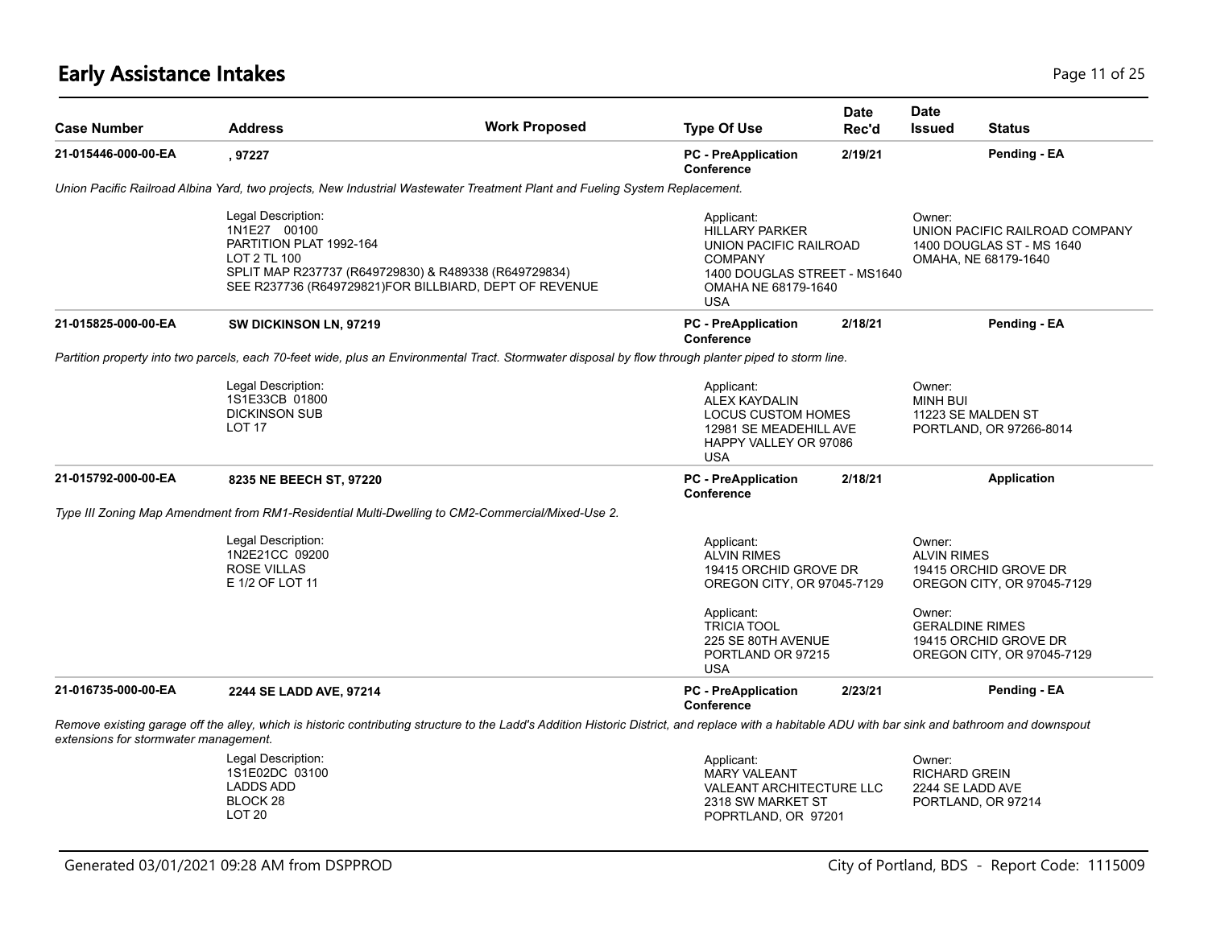# **Early Assistance Intakes** Page 11 of 25

| <b>Case Number</b>                    | <b>Address</b>                                                                                                                                                                                   | <b>Work Proposed</b>                                                                                                                                                                               | <b>Type Of Use</b>                                                                                                               | <b>Date</b><br>Rec'd                                                          | <b>Date</b><br><b>Issued</b>                                                            | <b>Status</b>                                                                                 |  |
|---------------------------------------|--------------------------------------------------------------------------------------------------------------------------------------------------------------------------------------------------|----------------------------------------------------------------------------------------------------------------------------------------------------------------------------------------------------|----------------------------------------------------------------------------------------------------------------------------------|-------------------------------------------------------------------------------|-----------------------------------------------------------------------------------------|-----------------------------------------------------------------------------------------------|--|
| 21-015446-000-00-EA                   | , 97227                                                                                                                                                                                          |                                                                                                                                                                                                    | <b>PC</b> - PreApplication<br><b>Conference</b>                                                                                  | 2/19/21                                                                       |                                                                                         | Pending - EA                                                                                  |  |
|                                       |                                                                                                                                                                                                  | Union Pacific Railroad Albina Yard, two projects, New Industrial Wastewater Treatment Plant and Fueling System Replacement.                                                                        |                                                                                                                                  |                                                                               |                                                                                         |                                                                                               |  |
|                                       | Legal Description:<br>1N1E27 00100<br>PARTITION PLAT 1992-164<br>LOT 2 TL 100<br>SPLIT MAP R237737 (R649729830) & R489338 (R649729834)<br>SEE R237736 (R649729821)FOR BILLBIARD, DEPT OF REVENUE |                                                                                                                                                                                                    | Applicant:<br><b>HILLARY PARKER</b><br><b>COMPANY</b><br><b>USA</b>                                                              | UNION PACIFIC RAILROAD<br>1400 DOUGLAS STREET - MS1640<br>OMAHA NE 68179-1640 |                                                                                         | Owner:<br>UNION PACIFIC RAILROAD COMPANY<br>1400 DOUGLAS ST - MS 1640<br>OMAHA, NE 68179-1640 |  |
| 21-015825-000-00-EA                   | SW DICKINSON LN, 97219                                                                                                                                                                           |                                                                                                                                                                                                    | <b>PC</b> - PreApplication<br><b>Conference</b>                                                                                  | 2/18/21                                                                       |                                                                                         | Pending - EA                                                                                  |  |
|                                       |                                                                                                                                                                                                  | Partition property into two parcels, each 70-feet wide, plus an Environmental Tract. Stormwater disposal by flow through planter piped to storm line.                                              |                                                                                                                                  |                                                                               |                                                                                         |                                                                                               |  |
|                                       | Legal Description:<br>1S1E33CB 01800<br><b>DICKINSON SUB</b><br>LOT <sub>17</sub>                                                                                                                |                                                                                                                                                                                                    | Applicant:<br><b>ALEX KAYDALIN</b><br><b>LOCUS CUSTOM HOMES</b><br>12981 SE MEADEHILL AVE<br>HAPPY VALLEY OR 97086<br><b>USA</b> |                                                                               | Owner:<br><b>MINH BUI</b>                                                               | 11223 SE MALDEN ST<br>PORTLAND, OR 97266-8014                                                 |  |
| 21-015792-000-00-EA                   | 8235 NE BEECH ST, 97220                                                                                                                                                                          |                                                                                                                                                                                                    | <b>PC</b> - PreApplication<br><b>Conference</b>                                                                                  | 2/18/21                                                                       |                                                                                         | <b>Application</b>                                                                            |  |
|                                       |                                                                                                                                                                                                  | Type III Zoning Map Amendment from RM1-Residential Multi-Dwelling to CM2-Commercial/Mixed-Use 2.                                                                                                   |                                                                                                                                  |                                                                               |                                                                                         |                                                                                               |  |
|                                       | Legal Description:<br>1N2E21CC 09200<br><b>ROSE VILLAS</b><br>E 1/2 OF LOT 11                                                                                                                    |                                                                                                                                                                                                    | Applicant:<br><b>ALVIN RIMES</b><br>19415 ORCHID GROVE DR<br>OREGON CITY, OR 97045-7129<br>Applicant:                            |                                                                               | Owner:<br><b>ALVIN RIMES</b><br>19415 ORCHID GROVE DR<br>OREGON CITY, OR 97045-7129     |                                                                                               |  |
|                                       |                                                                                                                                                                                                  |                                                                                                                                                                                                    |                                                                                                                                  | 225 SE 80TH AVENUE<br>PORTLAND OR 97215                                       | Owner:<br><b>GERALDINE RIMES</b><br>19415 ORCHID GROVE DR<br>OREGON CITY, OR 97045-7129 |                                                                                               |  |
| 21-016735-000-00-EA                   | 2244 SE LADD AVE, 97214                                                                                                                                                                          |                                                                                                                                                                                                    | <b>PC</b> - PreApplication<br><b>Conference</b>                                                                                  | 2/23/21                                                                       |                                                                                         | Pending - EA                                                                                  |  |
| extensions for stormwater management. |                                                                                                                                                                                                  | Remove existing garage off the alley, which is historic contributing structure to the Ladd's Addition Historic District, and replace with a habitable ADU with bar sink and bathroom and downspout |                                                                                                                                  |                                                                               |                                                                                         |                                                                                               |  |
|                                       | Legal Description:<br>1S1E02DC 03100<br><b>LADDS ADD</b><br>BLOCK 28<br>LOT <sub>20</sub>                                                                                                        |                                                                                                                                                                                                    | Applicant:<br><b>MARY VALEANT</b><br><b>VALEANT ARCHITECTURE LLC</b><br>2318 SW MARKET ST<br>POPRTLAND, OR 97201                 |                                                                               | Owner:<br><b>RICHARD GREIN</b><br>2244 SE LADD AVE                                      | PORTLAND, OR 97214                                                                            |  |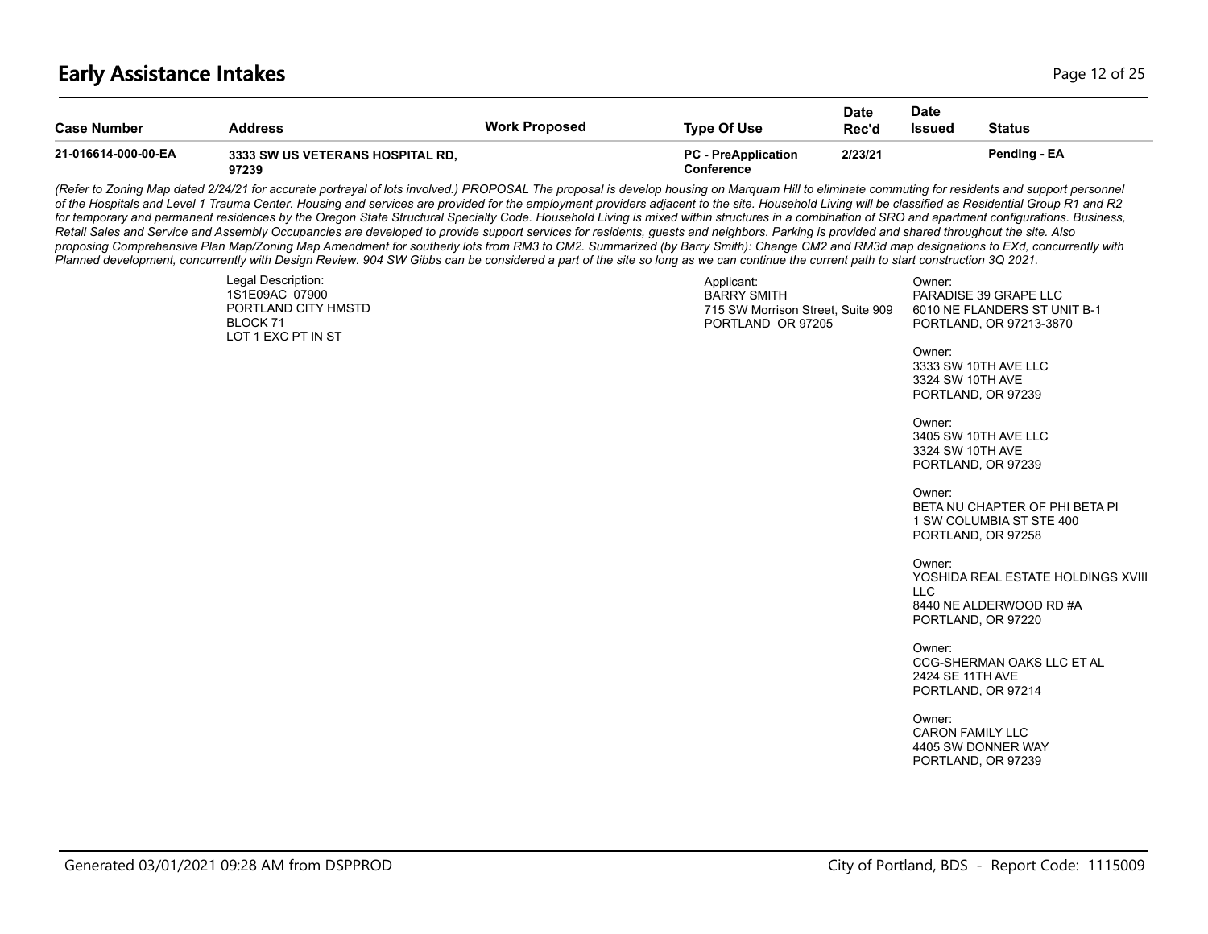#### **Early Assistance Intakes** Page 12 of 25

| <b>Case Number</b>  | <b>Address</b>                            | <b>Work Proposed</b> | Type Of Use                                     | <b>Date</b><br>Rec'd | Date<br><b>Issued</b> | <b>Status</b> |
|---------------------|-------------------------------------------|----------------------|-------------------------------------------------|----------------------|-----------------------|---------------|
| 21-016614-000-00-EA | 3333 SW US VETERANS HOSPITAL RD.<br>97239 |                      | <b>PC - PreApplication</b><br><b>Conference</b> | 2/23/21              |                       | Pending - EA  |

(Refer to Zoning Map dated 2/24/21 for accurate portrayal of lots involved.) PROPOSAL The proposal is develop housing on Marquam Hill to eliminate commuting for residents and support personnel *of the Hospitals and Level 1 Trauma Center. Housing and services are provided for the employment providers adjacent to the site. Household Living will be classified as Residential Group R1 and R2*  for temporary and permanent residences by the Oregon State Structural Specialty Code. Household Living is mixed within structures in a combination of SRO and apartment configurations. Business, *Retail Sales and Service and Assembly Occupancies are developed to provide support services for residents, guests and neighbors. Parking is provided and shared throughout the site. Also proposing Comprehensive Plan Map/Zoning Map Amendment for southerly lots from RM3 to CM2. Summarized (by Barry Smith): Change CM2 and RM3d map designations to EXd, concurrently with Planned development, concurrently with Design Review. 904 SW Gibbs can be considered a part of the site so long as we can continue the current path to start construction 3Q 2021.*

| Legal Description:<br>1S1E09AC 07900<br>PORTLAND CITY HMSTD<br>BLOCK 71<br>LOT 1 EXC PT IN ST | Applicant:<br><b>BARRY SMITH</b><br>715 SW Morrison Street, Suite 909<br>PORTLAND OR 97205 | Owner:<br>PARADISE 39 GRAPE LLC<br>6010 NE FLANDERS ST UNIT B-1<br>PORTLAND, OR 97213-3870 |
|-----------------------------------------------------------------------------------------------|--------------------------------------------------------------------------------------------|--------------------------------------------------------------------------------------------|
|                                                                                               |                                                                                            | Owner:<br>3333 SW 10TH AVE LLC<br>3324 SW 10TH AVE<br>PORTLAND, OR 97239                   |

Owner: 3405 SW 10TH AVE LLC 3324 SW 10TH AVE PORTLAND, OR 97239

Owner: BETA NU CHAPTER OF PHI BETA PI 1 SW COLUMBIA ST STE 400 PORTLAND, OR 97258

Owner: YOSHIDA REAL ESTATE HOLDINGS XVIII  $\sqcup$  C. 8440 NE ALDERWOOD RD #A PORTLAND, OR 97220

Owner: CCG-SHERMAN OAKS LLC ET AL 2424 SE 11TH AVE PORTLAND, OR 97214

Owner: CARON FAMILY LLC 4405 SW DONNER WAY PORTLAND, OR 97239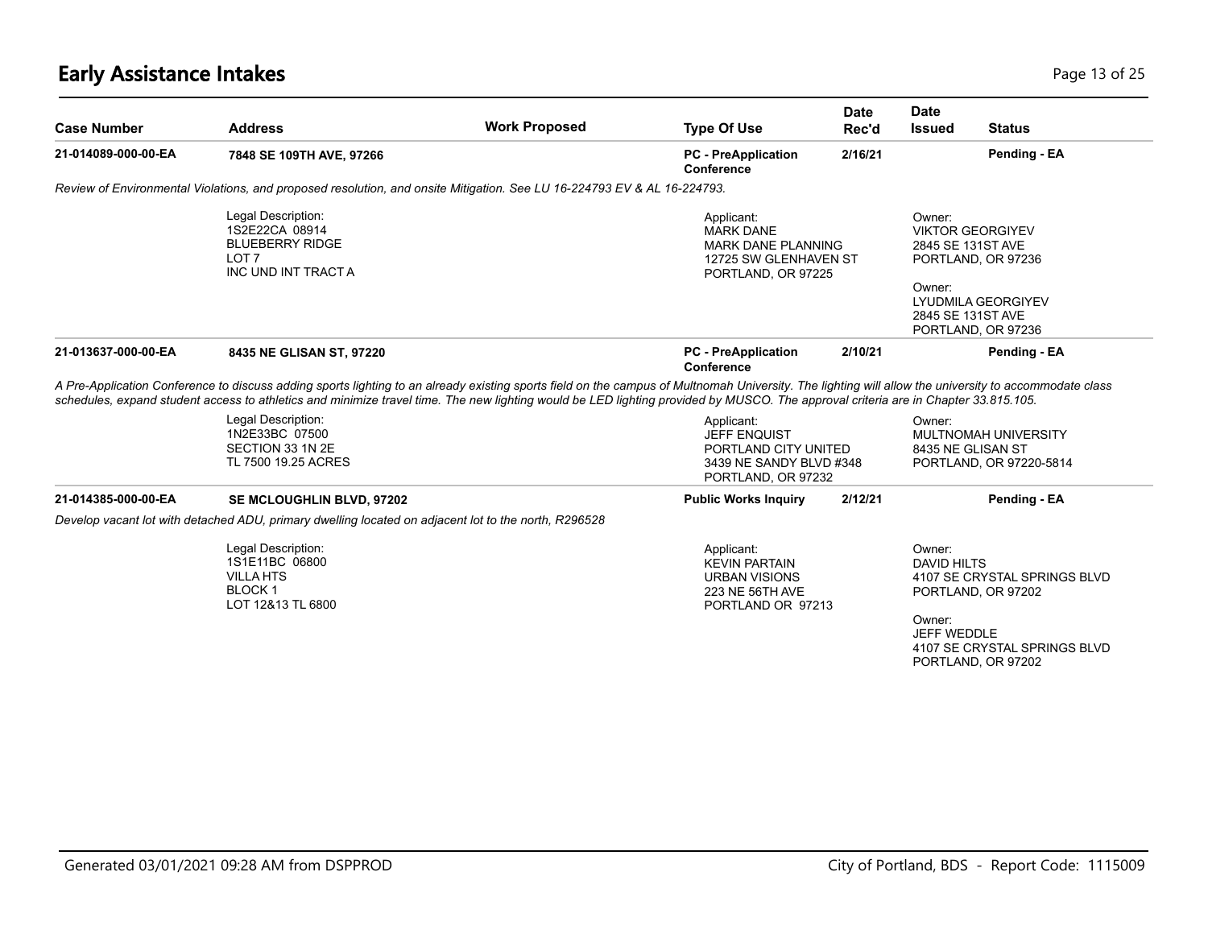# **Early Assistance Intakes** Page 13 of 25

| <b>Case Number</b>  | <b>Address</b>                                                                                                                                                                                                                                                                                                                                                                              | <b>Work Proposed</b> | <b>Type Of Use</b>                                                                                         | <b>Date</b><br>Rec'd | <b>Date</b><br><b>Issued</b>                                                                                | <b>Status</b>                                                |
|---------------------|---------------------------------------------------------------------------------------------------------------------------------------------------------------------------------------------------------------------------------------------------------------------------------------------------------------------------------------------------------------------------------------------|----------------------|------------------------------------------------------------------------------------------------------------|----------------------|-------------------------------------------------------------------------------------------------------------|--------------------------------------------------------------|
| 21-014089-000-00-EA | 7848 SE 109TH AVE, 97266                                                                                                                                                                                                                                                                                                                                                                    |                      | <b>PC</b> - PreApplication<br><b>Conference</b>                                                            | 2/16/21              |                                                                                                             | Pending - EA                                                 |
|                     | Review of Environmental Violations, and proposed resolution, and onsite Mitigation. See LU 16-224793 EV & AL 16-224793.                                                                                                                                                                                                                                                                     |                      |                                                                                                            |                      |                                                                                                             |                                                              |
|                     | Legal Description:<br>1S2E22CA 08914<br><b>BLUEBERRY RIDGE</b><br>LOT <sub>7</sub><br>INC UND INT TRACT A                                                                                                                                                                                                                                                                                   |                      | Applicant:<br><b>MARK DANE</b><br><b>MARK DANE PLANNING</b><br>12725 SW GLENHAVEN ST<br>PORTLAND, OR 97225 |                      | Owner:<br><b>VIKTOR GEORGIYEV</b><br>2845 SE 131ST AVE<br>PORTLAND, OR 97236<br>Owner:<br>2845 SE 131ST AVE | LYUDMILA GEORGIYEV                                           |
| 21-013637-000-00-EA | 8435 NE GLISAN ST, 97220                                                                                                                                                                                                                                                                                                                                                                    |                      | <b>PC</b> - PreApplication<br>Conference                                                                   | 2/10/21              | PORTLAND, OR 97236                                                                                          | Pending - EA                                                 |
|                     | A Pre-Application Conference to discuss adding sports lighting to an already existing sports field on the campus of Multnomah University. The lighting will allow the university to accommodate class<br>schedules, expand student access to athletics and minimize travel time. The new lighting would be LED lighting provided by MUSCO. The approval criteria are in Chapter 33.815.105. |                      |                                                                                                            |                      |                                                                                                             |                                                              |
|                     | Legal Description:<br>1N2E33BC 07500<br>SECTION 33 1N 2E<br>TL 7500 19.25 ACRES                                                                                                                                                                                                                                                                                                             |                      | Applicant:<br><b>JEFF ENQUIST</b><br>PORTLAND CITY UNITED<br>3439 NE SANDY BLVD #348<br>PORTLAND, OR 97232 |                      | Owner:<br>8435 NE GLISAN ST                                                                                 | MULTNOMAH UNIVERSITY<br>PORTLAND, OR 97220-5814              |
| 21-014385-000-00-EA | SE MCLOUGHLIN BLVD, 97202                                                                                                                                                                                                                                                                                                                                                                   |                      | <b>Public Works Inquiry</b>                                                                                | 2/12/21              |                                                                                                             | Pending - EA                                                 |
|                     | Develop vacant lot with detached ADU, primary dwelling located on adjacent lot to the north, R296528                                                                                                                                                                                                                                                                                        |                      |                                                                                                            |                      |                                                                                                             |                                                              |
|                     | Legal Description:<br>1S1E11BC 06800<br><b>VILLA HTS</b><br><b>BLOCK1</b><br>LOT 12&13 TL 6800                                                                                                                                                                                                                                                                                              |                      | Applicant:<br><b>KEVIN PARTAIN</b><br><b>URBAN VISIONS</b><br>223 NE 56TH AVE<br>PORTLAND OR 97213         |                      | Owner:<br><b>DAVID HILTS</b><br>PORTLAND, OR 97202<br>Owner:<br>JEFF WEDDLE                                 | 4107 SE CRYSTAL SPRINGS BLVD<br>4107 SE CRYSTAL SPRINGS BLVD |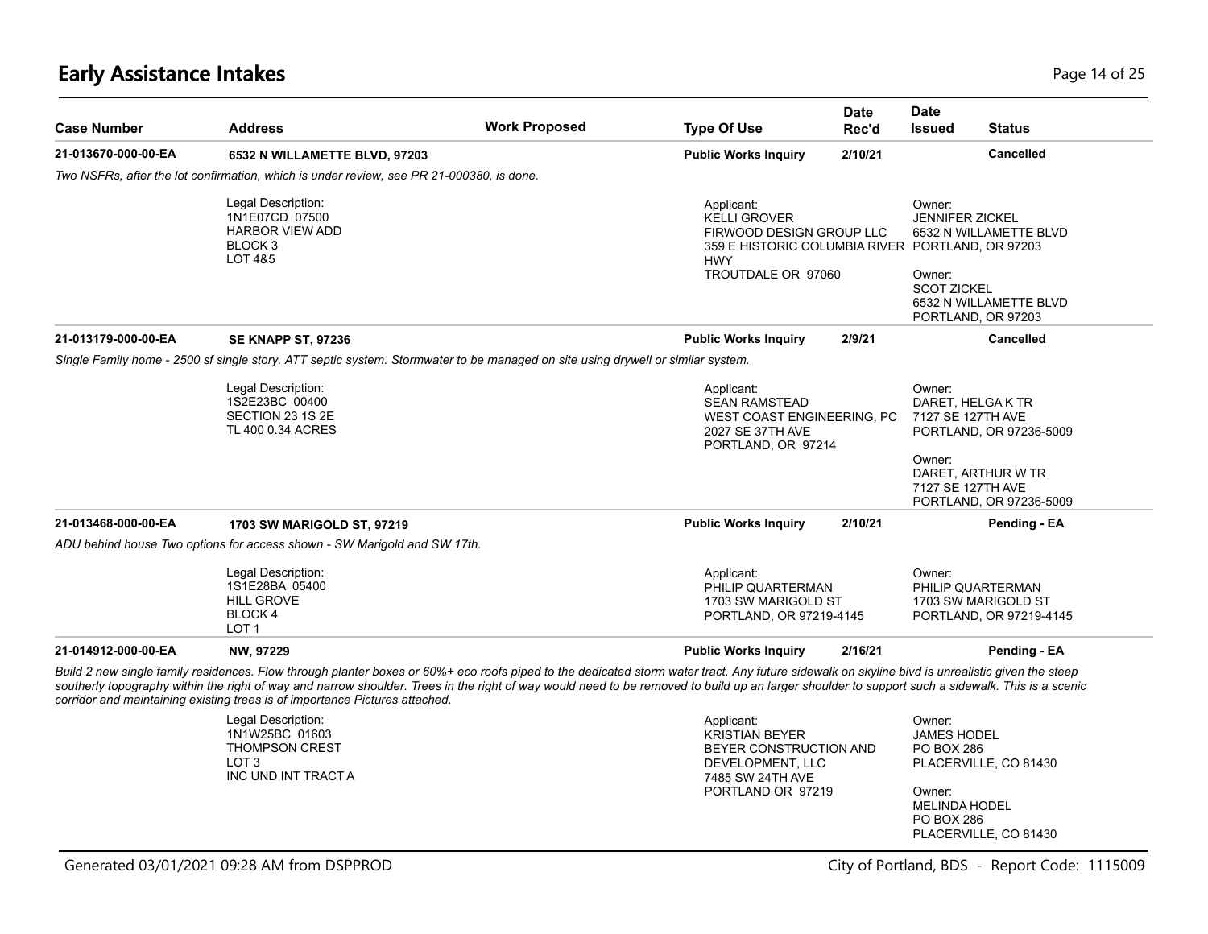| <b>Case Number</b>  | <b>Address</b>                                                                                                                                                                                                                                                                                                                                                                                                                                                                     | <b>Work Proposed</b> | <b>Type Of Use</b>                                                                                                         | <b>Date</b><br>Rec'd | <b>Date</b><br><b>Issued</b><br><b>Status</b>                                                                                                                                                  |
|---------------------|------------------------------------------------------------------------------------------------------------------------------------------------------------------------------------------------------------------------------------------------------------------------------------------------------------------------------------------------------------------------------------------------------------------------------------------------------------------------------------|----------------------|----------------------------------------------------------------------------------------------------------------------------|----------------------|------------------------------------------------------------------------------------------------------------------------------------------------------------------------------------------------|
| 21-013670-000-00-EA | 6532 N WILLAMETTE BLVD, 97203                                                                                                                                                                                                                                                                                                                                                                                                                                                      |                      | <b>Public Works Inquiry</b>                                                                                                | 2/10/21              | <b>Cancelled</b>                                                                                                                                                                               |
|                     | Two NSFRs, after the lot confirmation, which is under review, see PR 21-000380, is done.                                                                                                                                                                                                                                                                                                                                                                                           |                      |                                                                                                                            |                      |                                                                                                                                                                                                |
|                     | Legal Description:<br>1N1E07CD 07500<br><b>HARBOR VIEW ADD</b><br>BLOCK 3<br>LOT 4&5                                                                                                                                                                                                                                                                                                                                                                                               |                      | Applicant:<br><b>KELLI GROVER</b><br>FIRWOOD DESIGN GROUP LLC<br><b>HWY</b><br>TROUTDALE OR 97060                          |                      | Owner:<br><b>JENNIFER ZICKEL</b><br>6532 N WILLAMETTE BLVD<br>359 E HISTORIC COLUMBIA RIVER PORTLAND, OR 97203<br>Owner:<br><b>SCOT ZICKEL</b><br>6532 N WILLAMETTE BLVD<br>PORTLAND, OR 97203 |
| 21-013179-000-00-EA | <b>SE KNAPP ST, 97236</b>                                                                                                                                                                                                                                                                                                                                                                                                                                                          |                      | <b>Public Works Inquiry</b>                                                                                                | 2/9/21               | <b>Cancelled</b>                                                                                                                                                                               |
|                     | Single Family home - 2500 sf single story. ATT septic system. Stormwater to be managed on site using drywell or similar system.                                                                                                                                                                                                                                                                                                                                                    |                      |                                                                                                                            |                      |                                                                                                                                                                                                |
|                     | Legal Description:<br>1S2E23BC 00400<br>SECTION 23 1S 2E<br>TL 400 0.34 ACRES                                                                                                                                                                                                                                                                                                                                                                                                      |                      | Applicant:<br><b>SEAN RAMSTEAD</b><br>WEST COAST ENGINEERING, PC<br>2027 SE 37TH AVE<br>PORTLAND, OR 97214                 |                      | Owner:<br>DARET, HELGA K TR<br>7127 SE 127TH AVE<br>PORTLAND, OR 97236-5009<br>Owner:<br>DARET. ARTHUR W TR<br>7127 SE 127TH AVE<br>PORTLAND, OR 97236-5009                                    |
| 21-013468-000-00-EA | 1703 SW MARIGOLD ST, 97219                                                                                                                                                                                                                                                                                                                                                                                                                                                         |                      | <b>Public Works Inquiry</b>                                                                                                | 2/10/21              | Pending - EA                                                                                                                                                                                   |
|                     | ADU behind house Two options for access shown - SW Marigold and SW 17th.                                                                                                                                                                                                                                                                                                                                                                                                           |                      |                                                                                                                            |                      |                                                                                                                                                                                                |
|                     | Legal Description:<br>1S1E28BA 05400<br><b>HILL GROVE</b><br>BLOCK 4<br>LOT <sub>1</sub>                                                                                                                                                                                                                                                                                                                                                                                           |                      | Applicant:<br>PHILIP QUARTERMAN<br>1703 SW MARIGOLD ST<br>PORTLAND, OR 97219-4145                                          |                      | Owner:<br>PHILIP QUARTERMAN<br>1703 SW MARIGOLD ST<br>PORTLAND, OR 97219-4145                                                                                                                  |
| 21-014912-000-00-EA | NW, 97229                                                                                                                                                                                                                                                                                                                                                                                                                                                                          |                      | <b>Public Works Inquiry</b>                                                                                                | 2/16/21              | Pending - EA                                                                                                                                                                                   |
|                     | Build 2 new single family residences. Flow through planter boxes or 60%+ eco roofs piped to the dedicated storm water tract. Any future sidewalk on skyline blvd is unrealistic given the steep<br>southerly topography within the right of way and narrow shoulder. Trees in the right of way would need to be removed to build up an larger shoulder to support such a sidewalk. This is a scenic<br>corridor and maintaining existing trees is of importance Pictures attached. |                      |                                                                                                                            |                      |                                                                                                                                                                                                |
|                     | Legal Description:<br>1N1W25BC 01603<br><b>THOMPSON CREST</b><br>LOT <sub>3</sub><br>INC UND INT TRACT A                                                                                                                                                                                                                                                                                                                                                                           |                      | Applicant:<br><b>KRISTIAN BEYER</b><br>BEYER CONSTRUCTION AND<br>DEVELOPMENT, LLC<br>7485 SW 24TH AVE<br>PORTLAND OR 97219 |                      | Owner:<br><b>JAMES HODEL</b><br><b>PO BOX 286</b><br>PLACERVILLE, CO 81430<br>Owner:<br><b>MELINDA HODEL</b><br><b>PO BOX 286</b>                                                              |

PLACERVILLE, CO 81430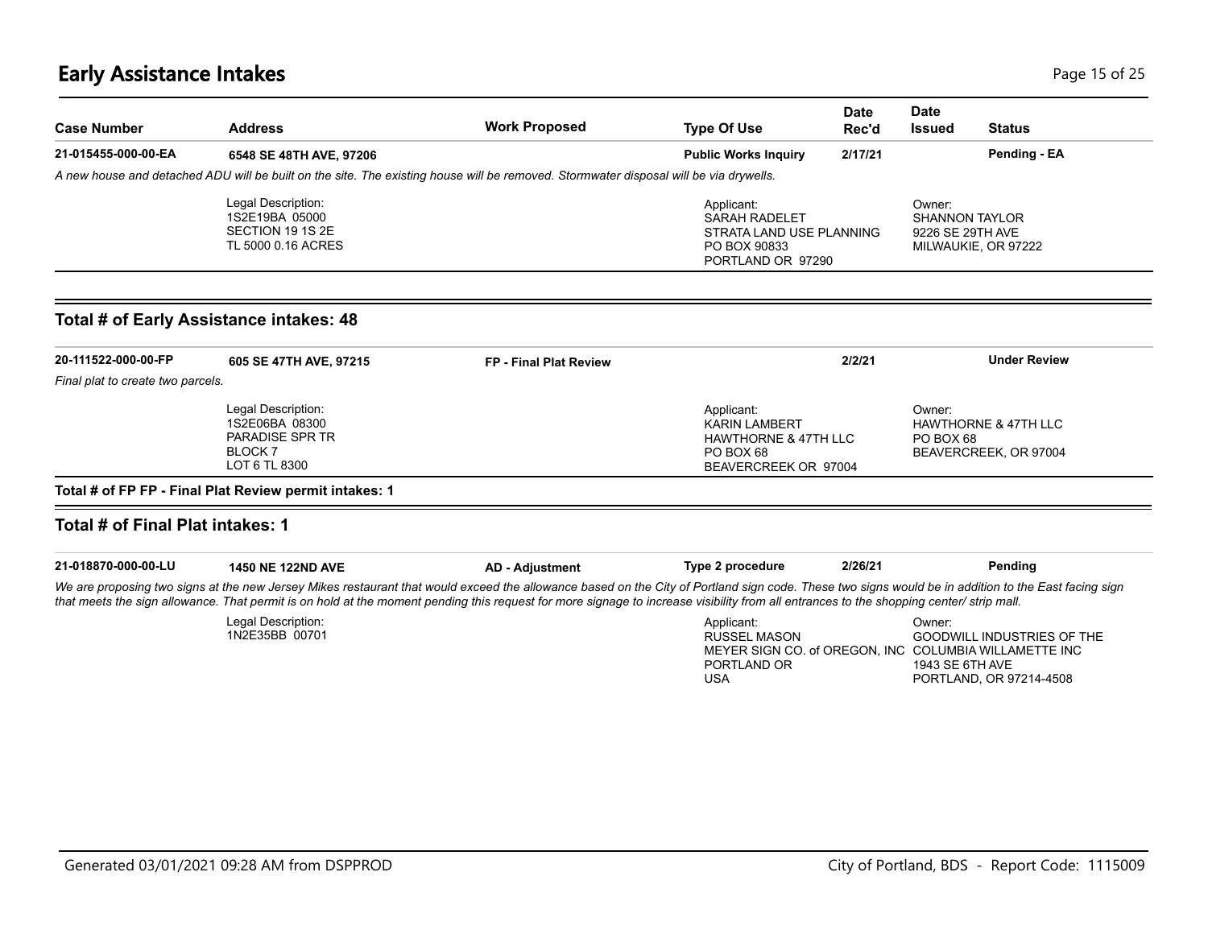# **Early Assistance Intakes** Page 15 of 25

| <b>Case Number</b>                      | <b>Address</b>                                                                            | <b>Work Proposed</b>                                                                                                                                                                                                                                                                                                                                                                           | <b>Type Of Use</b>                                                                                                      | <b>Date</b><br>Rec'd | <b>Date</b><br><b>Issued</b>                        | <b>Status</b>                                                |
|-----------------------------------------|-------------------------------------------------------------------------------------------|------------------------------------------------------------------------------------------------------------------------------------------------------------------------------------------------------------------------------------------------------------------------------------------------------------------------------------------------------------------------------------------------|-------------------------------------------------------------------------------------------------------------------------|----------------------|-----------------------------------------------------|--------------------------------------------------------------|
| 21-015455-000-00-EA                     | 6548 SE 48TH AVE, 97206                                                                   |                                                                                                                                                                                                                                                                                                                                                                                                | <b>Public Works Inquiry</b>                                                                                             | 2/17/21              |                                                     | Pending - EA                                                 |
|                                         |                                                                                           | A new house and detached ADU will be built on the site. The existing house will be removed. Stormwater disposal will be via drywells.                                                                                                                                                                                                                                                          |                                                                                                                         |                      |                                                     |                                                              |
|                                         | Legal Description:<br>1S2E19BA 05000<br>SECTION 19 1S 2E<br>TL 5000 0.16 ACRES            |                                                                                                                                                                                                                                                                                                                                                                                                | Applicant:<br><b>SARAH RADELET</b><br>STRATA LAND USE PLANNING<br>PO BOX 90833<br>PORTLAND OR 97290                     |                      | Owner:<br><b>SHANNON TAYLOR</b><br>9226 SE 29TH AVE | MILWAUKIE, OR 97222                                          |
| Total # of Early Assistance intakes: 48 |                                                                                           |                                                                                                                                                                                                                                                                                                                                                                                                |                                                                                                                         |                      |                                                     |                                                              |
| 20-111522-000-00-FP                     | 605 SE 47TH AVE, 97215                                                                    | FP - Final Plat Review                                                                                                                                                                                                                                                                                                                                                                         |                                                                                                                         | 2/2/21               |                                                     | <b>Under Review</b>                                          |
| Final plat to create two parcels.       |                                                                                           |                                                                                                                                                                                                                                                                                                                                                                                                |                                                                                                                         |                      |                                                     |                                                              |
|                                         | Legal Description:<br>1S2E06BA 08300<br>PARADISE SPR TR<br><b>BLOCK7</b><br>LOT 6 TL 8300 |                                                                                                                                                                                                                                                                                                                                                                                                | Applicant:<br><b>KARIN LAMBERT</b><br><b>HAWTHORNE &amp; 47TH LLC</b><br>PO BOX 68<br>BEAVERCREEK OR 97004              |                      | Owner:<br>PO BOX 68                                 | <b>HAWTHORNE &amp; 47TH LLC</b><br>BEAVERCREEK, OR 97004     |
| Total # of Final Plat intakes: 1        | Total # of FP FP - Final Plat Review permit intakes: 1                                    |                                                                                                                                                                                                                                                                                                                                                                                                |                                                                                                                         |                      |                                                     |                                                              |
|                                         |                                                                                           |                                                                                                                                                                                                                                                                                                                                                                                                |                                                                                                                         |                      |                                                     |                                                              |
| 21-018870-000-00-LU                     | <b>1450 NE 122ND AVE</b>                                                                  | <b>AD - Adjustment</b>                                                                                                                                                                                                                                                                                                                                                                         | Type 2 procedure                                                                                                        | 2/26/21              |                                                     | Pending                                                      |
|                                         |                                                                                           | We are proposing two signs at the new Jersey Mikes restaurant that would exceed the allowance based on the City of Portland sign code. These two signs would be in addition to the East facing sign<br>that meets the sign allowance. That permit is on hold at the moment pending this request for more signage to increase visibility from all entrances to the shopping center/ strip mall. |                                                                                                                         |                      |                                                     |                                                              |
|                                         | Legal Description:<br>1N2E35BB 00701                                                      |                                                                                                                                                                                                                                                                                                                                                                                                | Applicant:<br><b>RUSSEL MASON</b><br>MEYER SIGN CO. of OREGON, INC COLUMBIA WILLAMETTE INC<br>PORTLAND OR<br><b>USA</b> |                      | Owner:<br>1943 SE 6TH AVE                           | <b>GOODWILL INDUSTRIES OF THE</b><br>PORTLAND, OR 97214-4508 |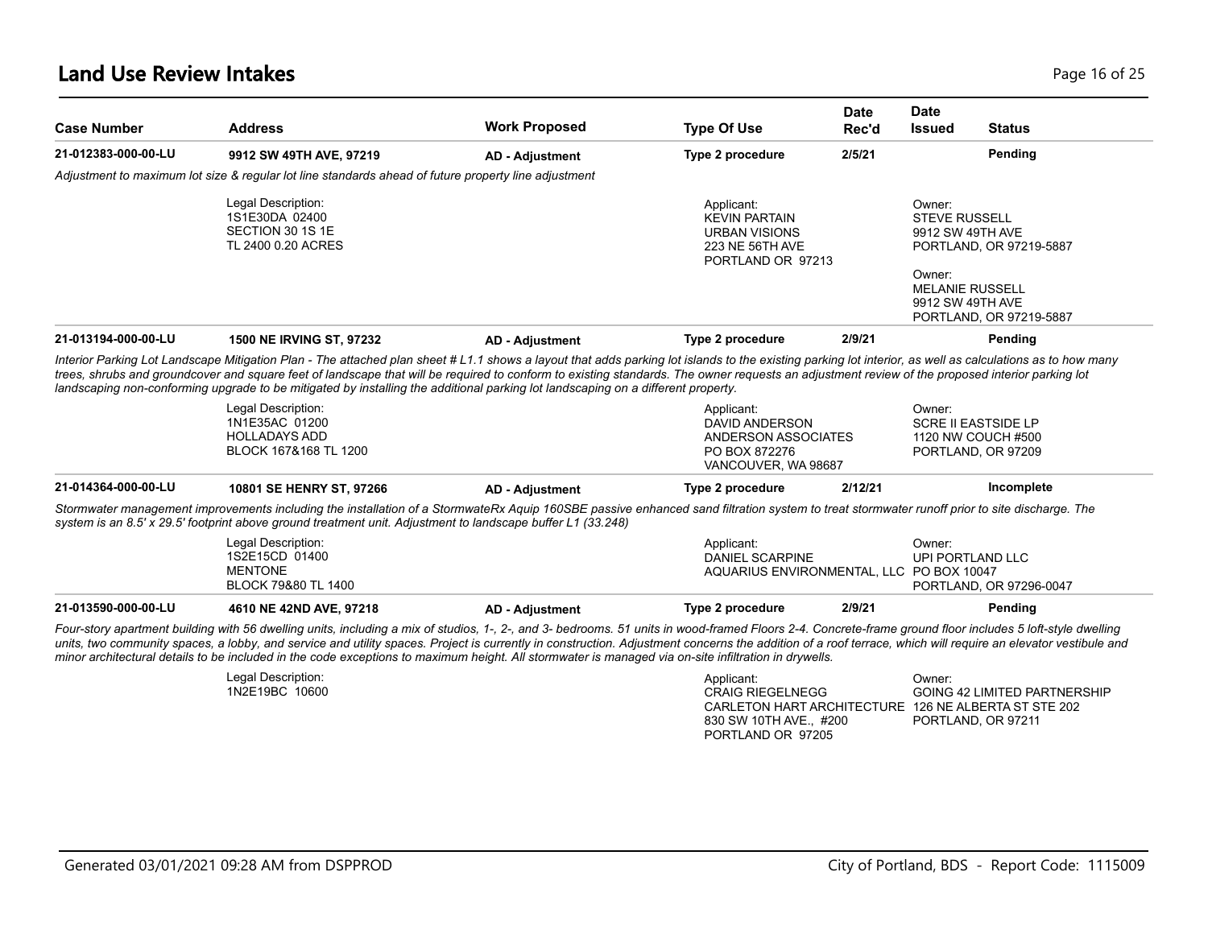| <b>Case Number</b>  | <b>Address</b>                                                                                                                                                                                                                                                                                                                                                                                                                                                                                                                                                                    | <b>Work Proposed</b>   | <b>Type Of Use</b>                                                                                 | <b>Date</b><br>Rec'd | <b>Date</b><br><b>Status</b><br><b>Issued</b>                                    |  |
|---------------------|-----------------------------------------------------------------------------------------------------------------------------------------------------------------------------------------------------------------------------------------------------------------------------------------------------------------------------------------------------------------------------------------------------------------------------------------------------------------------------------------------------------------------------------------------------------------------------------|------------------------|----------------------------------------------------------------------------------------------------|----------------------|----------------------------------------------------------------------------------|--|
| 21-012383-000-00-LU | 9912 SW 49TH AVE, 97219                                                                                                                                                                                                                                                                                                                                                                                                                                                                                                                                                           | <b>AD - Adjustment</b> | Type 2 procedure                                                                                   | 2/5/21               | Pending                                                                          |  |
|                     | Adjustment to maximum lot size & regular lot line standards ahead of future property line adjustment                                                                                                                                                                                                                                                                                                                                                                                                                                                                              |                        |                                                                                                    |                      |                                                                                  |  |
|                     | Legal Description:<br>1S1E30DA 02400<br>SECTION 30 1S 1E<br>TL 2400 0.20 ACRES                                                                                                                                                                                                                                                                                                                                                                                                                                                                                                    |                        | Applicant:<br><b>KEVIN PARTAIN</b><br><b>URBAN VISIONS</b><br>223 NE 56TH AVE<br>PORTLAND OR 97213 |                      | Owner:<br><b>STEVE RUSSELL</b><br>9912 SW 49TH AVE<br>PORTLAND, OR 97219-5887    |  |
|                     |                                                                                                                                                                                                                                                                                                                                                                                                                                                                                                                                                                                   |                        |                                                                                                    |                      | Owner:<br><b>MELANIE RUSSELL</b><br>9912 SW 49TH AVE<br>PORTLAND, OR 97219-5887  |  |
| 21-013194-000-00-LU | 1500 NE IRVING ST, 97232                                                                                                                                                                                                                                                                                                                                                                                                                                                                                                                                                          | <b>AD - Adjustment</b> | Type 2 procedure                                                                                   | 2/9/21               | Pending                                                                          |  |
|                     | trees, shrubs and groundcover and square feet of landscape that will be required to conform to existing standards. The owner requests an adjustment review of the proposed interior parking lot<br>landscaping non-conforming upgrade to be mitigated by installing the additional parking lot landscaping on a different property.<br>Legal Description:<br>1N1E35AC 01200<br><b>HOLLADAYS ADD</b><br>BLOCK 167&168 TL 1200                                                                                                                                                      |                        | Applicant:<br><b>DAVID ANDERSON</b><br>ANDERSON ASSOCIATES<br>PO BOX 872276<br>VANCOUVER, WA 98687 |                      | Owner:<br><b>SCRE II EASTSIDE LP</b><br>1120 NW COUCH #500<br>PORTLAND, OR 97209 |  |
| 21-014364-000-00-LU | 10801 SE HENRY ST, 97266                                                                                                                                                                                                                                                                                                                                                                                                                                                                                                                                                          | <b>AD - Adjustment</b> | Type 2 procedure                                                                                   | 2/12/21              | Incomplete                                                                       |  |
|                     | Stormwater management improvements including the installation of a StormwateRx Aquip 160SBE passive enhanced sand filtration system to treat stormwater runoff prior to site discharge. The<br>system is an 8.5' x 29.5' footprint above ground treatment unit. Adjustment to landscape buffer L1 (33.248)                                                                                                                                                                                                                                                                        |                        |                                                                                                    |                      |                                                                                  |  |
|                     | Legal Description:<br>1S2E15CD 01400<br><b>MENTONE</b><br>BLOCK 79&80 TL 1400                                                                                                                                                                                                                                                                                                                                                                                                                                                                                                     |                        | Applicant:<br><b>DANIEL SCARPINE</b><br>AQUARIUS ENVIRONMENTAL, LLC PO BOX 10047                   |                      | Owner:<br>UPI PORTLAND LLC<br>PORTLAND, OR 97296-0047                            |  |
| 21-013590-000-00-LU | 4610 NE 42ND AVE, 97218                                                                                                                                                                                                                                                                                                                                                                                                                                                                                                                                                           | <b>AD - Adjustment</b> | Type 2 procedure                                                                                   | 2/9/21               | Pending                                                                          |  |
|                     | Four-story apartment building with 56 dwelling units, including a mix of studios, 1-, 2-, and 3- bedrooms. 51 units in wood-framed Floors 2-4. Concrete-frame ground floor includes 5 loft-style dwelling<br>units, two community spaces, a lobby, and service and utility spaces. Project is currently in construction. Adjustment concerns the addition of a roof terrace, which will require an elevator vestibule and<br>minor architectural details to be included in the code exceptions to maximum height. All stormwater is managed via on-site infiltration in drywells. |                        |                                                                                                    |                      |                                                                                  |  |
|                     | Legal Description:<br>1N2E19BC 10600                                                                                                                                                                                                                                                                                                                                                                                                                                                                                                                                              |                        | Applicant:<br><b>CRAIG RIEGELNEGG</b>                                                              |                      | Owner:<br>GOING 42 LIMITED PARTNERSHIP                                           |  |

PORTLAND, OR 97211

CARLETON HART ARCHITECTURE 126 NE ALBERTA ST STE 202

830 SW 10TH AVE., #200 PORTLAND OR 97205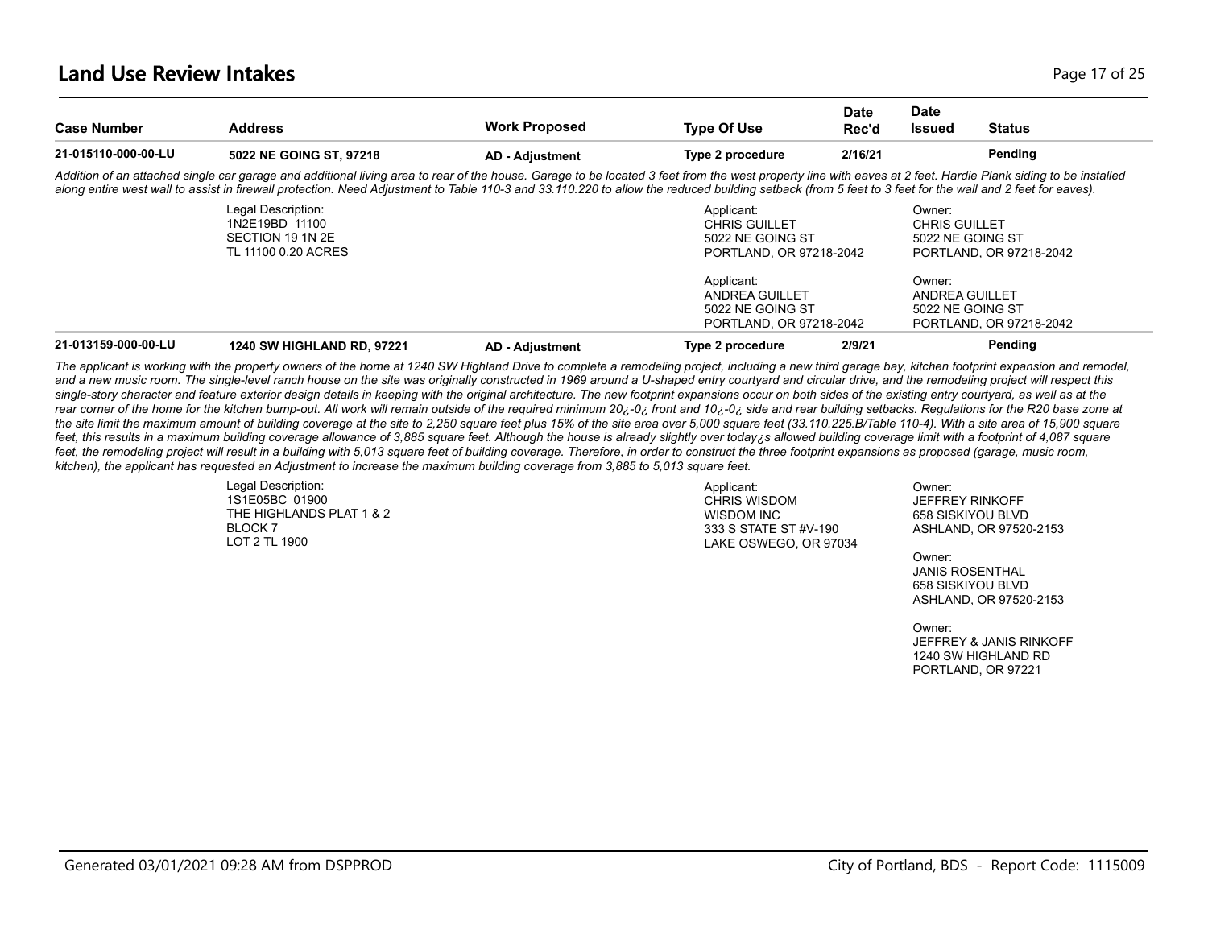#### **Land Use Review Intakes** Page 17 of 25

| <b>Case Number</b>  | <b>Address</b>                                                                                                                                                                                                                                                                                                                                                                                                          | <b>Work Proposed</b>   | <b>Type Of Use</b>                                                                | <b>Date</b><br>Rec'd | <b>Date</b><br><b>Issued</b>                       | <b>Status</b>           |
|---------------------|-------------------------------------------------------------------------------------------------------------------------------------------------------------------------------------------------------------------------------------------------------------------------------------------------------------------------------------------------------------------------------------------------------------------------|------------------------|-----------------------------------------------------------------------------------|----------------------|----------------------------------------------------|-------------------------|
| 21-015110-000-00-LU | 5022 NE GOING ST, 97218                                                                                                                                                                                                                                                                                                                                                                                                 | <b>AD - Adjustment</b> | Type 2 procedure                                                                  | 2/16/21              |                                                    | Pending                 |
|                     | Addition of an attached single car garage and additional living area to rear of the house. Garage to be located 3 feet from the west property line with eaves at 2 feet. Hardie Plank siding to be installed<br>along entire west wall to assist in firewall protection. Need Adjustment to Table 110-3 and 33.110.220 to allow the reduced building setback (from 5 feet to 3 feet for the wall and 2 feet for eaves). |                        |                                                                                   |                      |                                                    |                         |
|                     | Legal Description:<br>1N2E19BD 11100<br>SECTION 19 1N 2E<br>TL 11100 0.20 ACRES                                                                                                                                                                                                                                                                                                                                         |                        | Applicant:<br><b>CHRIS GUILLET</b><br>5022 NE GOING ST<br>PORTLAND, OR 97218-2042 |                      | Owner:<br><b>CHRIS GUILLET</b><br>5022 NE GOING ST | PORTLAND, OR 97218-2042 |
|                     |                                                                                                                                                                                                                                                                                                                                                                                                                         |                        | Applicant:<br>ANDREA GUILLET<br>5022 NE GOING ST<br>PORTLAND, OR 97218-2042       |                      | Owner:<br>ANDREA GUILLET<br>5022 NE GOING ST       | PORTLAND, OR 97218-2042 |
| 21-013159-000-00-LU | <b>1240 SW HIGHLAND RD, 97221</b>                                                                                                                                                                                                                                                                                                                                                                                       | <b>AD - Adiustment</b> | Type 2 procedure                                                                  | 2/9/21               |                                                    | Pendina                 |

*The applicant is working with the property owners of the home at 1240 SW Highland Drive to complete a remodeling project, including a new third garage bay, kitchen footprint expansion and remodel,*  and a new music room. The single-level ranch house on the site was originally constructed in 1969 around a U-shaped entry courtyard and circular drive, and the remodeling project will respect this single-story character and feature exterior design details in keeping with the original architecture. The new footprint expansions occur on both sides of the existing entry courtyard, as well as at the rear corner of the home for the kitchen bump-out. All work will remain outside of the required minimum 20¿-0¿ front and 10¿-0¿ side and rear building setbacks. Regulations for the R20 base zone at the site limit the maximum amount of building coverage at the site to 2,250 square feet plus 15% of the site area over 5,000 square feet (33.110.225.B/Table 110-4). With a site area of 15,900 square feet, this results in a maximum building coverage allowance of 3,885 square feet. Although the house is already slightly over today; s allowed building coverage limit with a footprint of 4,087 square feet, the remodeling project will result in a building with 5,013 square feet of building coverage. Therefore, in order to construct the three footprint expansions as proposed (garage, music room, *kitchen), the applicant has requested an Adjustment to increase the maximum building coverage from 3,885 to 5,013 square feet.*

> Legal Description: 1S1E05BC 01900 THE HIGHLANDS PLAT 1 & 2 BLOCK 7 LOT 2 TL 1900

Applicant: CHRIS WISDOM WISDOM INC 333 S STATE ST #V-190 LAKE OSWEGO, OR 97034

Owner: JEFFREY RINKOFF 658 SISKIYOU BLVD ASHLAND, OR 97520-2153

Owner: JANIS ROSENTHAL 658 SISKIYOU BLVD ASHLAND, OR 97520-2153

Owner: JEFFREY & JANIS RINKOFF 1240 SW HIGHLAND RD PORTLAND, OR 97221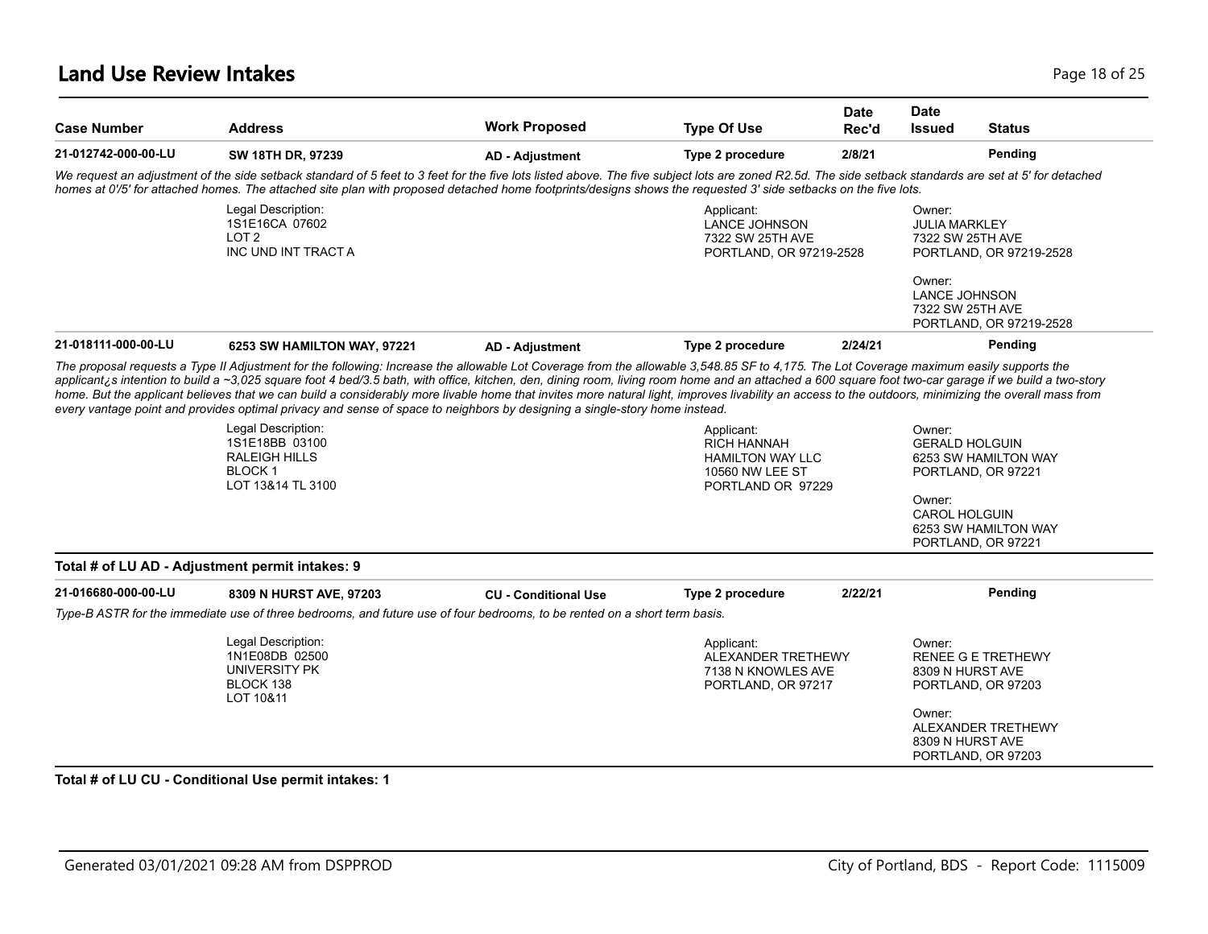#### **Land Use Review Intakes** Page 18 of 25

| <b>Case Number</b>  | <b>Address</b>                                                                                                                                                                                                                                                                                                                                                                                                                                                                                                                                                                                                                                                                                                                          | <b>Work Proposed</b>        | <b>Type Of Use</b>                                                                                  | Date<br>Rec'd | <b>Date</b><br><b>Issued</b>                                 | <b>Status</b>                                   |
|---------------------|-----------------------------------------------------------------------------------------------------------------------------------------------------------------------------------------------------------------------------------------------------------------------------------------------------------------------------------------------------------------------------------------------------------------------------------------------------------------------------------------------------------------------------------------------------------------------------------------------------------------------------------------------------------------------------------------------------------------------------------------|-----------------------------|-----------------------------------------------------------------------------------------------------|---------------|--------------------------------------------------------------|-------------------------------------------------|
| 21-012742-000-00-LU | SW 18TH DR, 97239                                                                                                                                                                                                                                                                                                                                                                                                                                                                                                                                                                                                                                                                                                                       | <b>AD - Adjustment</b>      | Type 2 procedure                                                                                    | 2/8/21        |                                                              | Pending                                         |
|                     | We request an adjustment of the side setback standard of 5 feet to 3 feet for the five lots listed above. The five subject lots are zoned R2.5d. The side setback standards are set at 5' for detached<br>homes at 0'/5' for attached homes. The attached site plan with proposed detached home footprints/designs shows the requested 3' side setbacks on the five lots.                                                                                                                                                                                                                                                                                                                                                               |                             |                                                                                                     |               |                                                              |                                                 |
|                     | Legal Description:<br>1S1E16CA 07602<br>LOT <sub>2</sub><br>INC UND INT TRACT A                                                                                                                                                                                                                                                                                                                                                                                                                                                                                                                                                                                                                                                         |                             | Applicant:<br><b>LANCE JOHNSON</b><br>7322 SW 25TH AVE<br>PORTLAND, OR 97219-2528                   |               | Owner:<br><b>JULIA MARKLEY</b><br>7322 SW 25TH AVE<br>Owner: | PORTLAND, OR 97219-2528                         |
|                     |                                                                                                                                                                                                                                                                                                                                                                                                                                                                                                                                                                                                                                                                                                                                         |                             |                                                                                                     |               | <b>LANCE JOHNSON</b><br>7322 SW 25TH AVE                     | PORTLAND, OR 97219-2528                         |
| 21-018111-000-00-LU | 6253 SW HAMILTON WAY, 97221                                                                                                                                                                                                                                                                                                                                                                                                                                                                                                                                                                                                                                                                                                             | <b>AD - Adjustment</b>      | Type 2 procedure                                                                                    | 2/24/21       |                                                              | Pending                                         |
|                     | The proposal requests a Type II Adjustment for the following: Increase the allowable Lot Coverage from the allowable 3,548.85 SF to 4,175. The Lot Coverage maximum easily supports the<br>applicant is intention to build a ~3,025 square foot 4 bed/3.5 bath, with office, kitchen, den, dining room, living room home and an attached a 600 square foot two-car garage if we build a two-story<br>home. But the applicant believes that we can build a considerably more livable home that invites more natural light, improves livability an access to the outdoors, minimizing the overall mass from<br>every vantage point and provides optimal privacy and sense of space to neighbors by designing a single-story home instead. |                             |                                                                                                     |               |                                                              |                                                 |
|                     | Legal Description:<br>1S1E18BB 03100<br><b>RALEIGH HILLS</b><br><b>BLOCK1</b><br>LOT 13&14 TL 3100                                                                                                                                                                                                                                                                                                                                                                                                                                                                                                                                                                                                                                      |                             | Applicant:<br><b>RICH HANNAH</b><br><b>HAMILTON WAY LLC</b><br>10560 NW LEE ST<br>PORTLAND OR 97229 |               | Owner:<br><b>GERALD HOLGUIN</b>                              | 6253 SW HAMILTON WAY<br>PORTLAND, OR 97221      |
|                     |                                                                                                                                                                                                                                                                                                                                                                                                                                                                                                                                                                                                                                                                                                                                         |                             |                                                                                                     |               | Owner:<br>CAROL HOLGUIN                                      | 6253 SW HAMILTON WAY                            |
|                     |                                                                                                                                                                                                                                                                                                                                                                                                                                                                                                                                                                                                                                                                                                                                         |                             |                                                                                                     |               |                                                              | PORTLAND, OR 97221                              |
|                     | Total # of LU AD - Adjustment permit intakes: 9                                                                                                                                                                                                                                                                                                                                                                                                                                                                                                                                                                                                                                                                                         |                             |                                                                                                     |               |                                                              |                                                 |
|                     | 8309 N HURST AVE, 97203                                                                                                                                                                                                                                                                                                                                                                                                                                                                                                                                                                                                                                                                                                                 | <b>CU - Conditional Use</b> | Type 2 procedure                                                                                    | 2/22/21       |                                                              | Pending                                         |
| 21-016680-000-00-LU | Type-B ASTR for the immediate use of three bedrooms, and future use of four bedrooms, to be rented on a short term basis.                                                                                                                                                                                                                                                                                                                                                                                                                                                                                                                                                                                                               |                             |                                                                                                     |               |                                                              |                                                 |
|                     | Legal Description:<br>1N1E08DB 02500<br>UNIVERSITY PK<br>BLOCK 138<br>LOT 10&11                                                                                                                                                                                                                                                                                                                                                                                                                                                                                                                                                                                                                                                         |                             | Applicant:<br>ALEXANDER TRETHEWY<br>7138 N KNOWLES AVE<br>PORTLAND, OR 97217                        |               | Owner:<br>8309 N HURST AVE                                   | <b>RENEE G E TRETHEWY</b><br>PORTLAND, OR 97203 |

#### Generated 03/01/2021 09:28 AM from DSPPROD City of Portland, BDS - Report Code: 1115009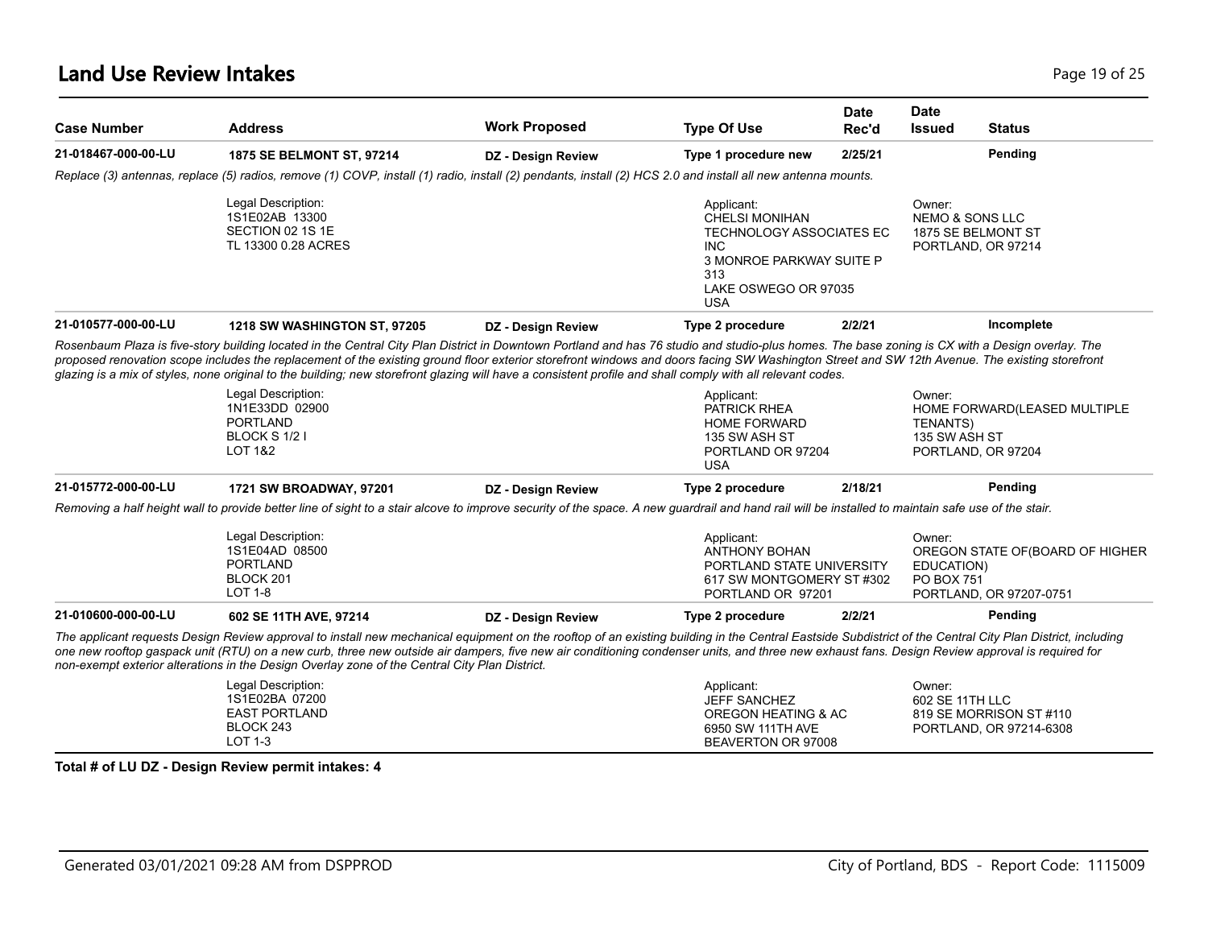| <b>Case Number</b>  | <b>Address</b>                                                                                                                                                                                                                                                                                                                                                                                                                                                                                                                                                 | <b>Work Proposed</b> | <b>Type Of Use</b>                                                                                                                                     | <b>Date</b><br>Rec'd | <b>Date</b><br><b>Issued</b>                                                     | <b>Status</b>                                              |
|---------------------|----------------------------------------------------------------------------------------------------------------------------------------------------------------------------------------------------------------------------------------------------------------------------------------------------------------------------------------------------------------------------------------------------------------------------------------------------------------------------------------------------------------------------------------------------------------|----------------------|--------------------------------------------------------------------------------------------------------------------------------------------------------|----------------------|----------------------------------------------------------------------------------|------------------------------------------------------------|
| 21-018467-000-00-LU | 1875 SE BELMONT ST, 97214                                                                                                                                                                                                                                                                                                                                                                                                                                                                                                                                      | DZ - Design Review   | Type 1 procedure new                                                                                                                                   | 2/25/21              |                                                                                  | Pending                                                    |
|                     | Replace (3) antennas, replace (5) radios, remove (1) COVP, install (1) radio, install (2) pendants, install (2) HCS 2.0 and install all new antenna mounts.                                                                                                                                                                                                                                                                                                                                                                                                    |                      |                                                                                                                                                        |                      |                                                                                  |                                                            |
|                     | Legal Description:<br>1S1E02AB 13300<br>SECTION 02 1S 1E<br>TL 13300 0.28 ACRES                                                                                                                                                                                                                                                                                                                                                                                                                                                                                |                      | Applicant:<br><b>CHELSI MONIHAN</b><br>TECHNOLOGY ASSOCIATES EC<br><b>INC</b><br>3 MONROE PARKWAY SUITE P<br>313<br>LAKE OSWEGO OR 97035<br><b>USA</b> |                      | Owner:<br><b>NEMO &amp; SONS LLC</b><br>1875 SE BELMONT ST<br>PORTLAND, OR 97214 |                                                            |
| 21-010577-000-00-LU | 1218 SW WASHINGTON ST, 97205                                                                                                                                                                                                                                                                                                                                                                                                                                                                                                                                   | DZ - Design Review   | Type 2 procedure                                                                                                                                       | 2/2/21               |                                                                                  | Incomplete                                                 |
|                     | Rosenbaum Plaza is five-story building located in the Central City Plan District in Downtown Portland and has 76 studio and studio-plus homes. The base zoning is CX with a Design overlay. The<br>proposed renovation scope includes the replacement of the existing ground floor exterior storefront windows and doors facing SW Washington Street and SW 12th Avenue. The existing storefront<br>glazing is a mix of styles, none original to the building; new storefront glazing will have a consistent profile and shall comply with all relevant codes. |                      |                                                                                                                                                        |                      |                                                                                  |                                                            |
|                     | Legal Description:<br>1N1E33DD 02900<br><b>PORTLAND</b><br>BLOCK S 1/2 I<br><b>LOT 1&amp;2</b>                                                                                                                                                                                                                                                                                                                                                                                                                                                                 |                      | Applicant:<br>PATRICK RHEA<br><b>HOME FORWARD</b><br>135 SW ASH ST<br>PORTLAND OR 97204<br><b>USA</b>                                                  |                      | Owner:<br><b>TENANTS)</b><br>135 SW ASH ST<br>PORTLAND, OR 97204                 | HOME FORWARD(LEASED MULTIPLE                               |
| 21-015772-000-00-LU | 1721 SW BROADWAY, 97201                                                                                                                                                                                                                                                                                                                                                                                                                                                                                                                                        | DZ - Design Review   | Type 2 procedure                                                                                                                                       | 2/18/21              |                                                                                  | Pending                                                    |
|                     | Removing a half height wall to provide better line of sight to a stair alcove to improve security of the space. A new guardrail and hand rail will be installed to maintain safe use of the stair.                                                                                                                                                                                                                                                                                                                                                             |                      |                                                                                                                                                        |                      |                                                                                  |                                                            |
|                     | Legal Description:<br>1S1E04AD 08500<br><b>PORTLAND</b><br>BLOCK 201<br><b>LOT 1-8</b>                                                                                                                                                                                                                                                                                                                                                                                                                                                                         |                      | Applicant:<br><b>ANTHONY BOHAN</b><br>PORTLAND STATE UNIVERSITY<br>617 SW MONTGOMERY ST #302<br>PORTLAND OR 97201                                      |                      | Owner:<br>EDUCATION)<br><b>PO BOX 751</b>                                        | OREGON STATE OF(BOARD OF HIGHER<br>PORTLAND, OR 97207-0751 |
| 21-010600-000-00-LU | 602 SE 11TH AVE, 97214                                                                                                                                                                                                                                                                                                                                                                                                                                                                                                                                         | DZ - Design Review   | Type 2 procedure                                                                                                                                       | 2/2/21               |                                                                                  | Pending                                                    |
|                     | The applicant requests Design Review approval to install new mechanical equipment on the rooftop of an existing building in the Central Eastside Subdistrict of the Central City Plan District, including<br>one new rooftop qaspack unit (RTU) on a new curb, three new outside air dampers, five new air conditioning condenser units, and three new exhaust fans. Design Review approval is required for<br>non-exempt exterior alterations in the Design Overlay zone of the Central City Plan District.                                                   |                      |                                                                                                                                                        |                      |                                                                                  |                                                            |
|                     | Legal Description:<br>1S1E02BA 07200<br><b>EAST PORTLAND</b><br>BLOCK 243<br>LOT 1-3                                                                                                                                                                                                                                                                                                                                                                                                                                                                           |                      | Applicant:<br><b>JEFF SANCHEZ</b><br>OREGON HEATING & AC<br>6950 SW 111TH AVE<br>BEAVERTON OR 97008                                                    |                      | Owner:<br>602 SE 11TH LLC                                                        | 819 SE MORRISON ST #110<br>PORTLAND, OR 97214-6308         |
|                     | Total # of LU DZ - Design Review permit intakes: 4                                                                                                                                                                                                                                                                                                                                                                                                                                                                                                             |                      |                                                                                                                                                        |                      |                                                                                  |                                                            |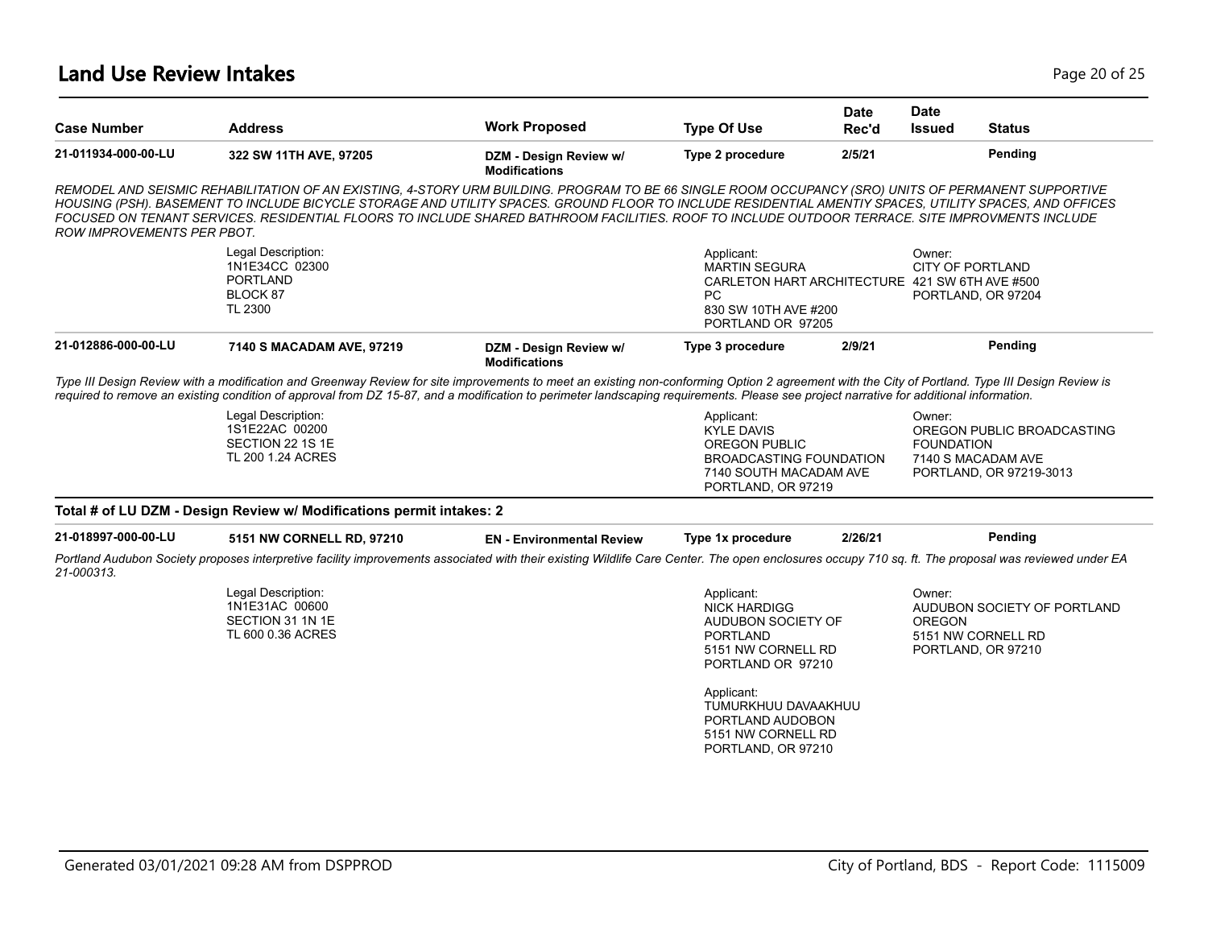#### **Land Use Review Intakes** Page 20 of 25

| <b>Case Number</b>                | <b>Address</b>                                                                                                                                                                                                                                                                                                                                                                                                                                                   | <b>Work Proposed</b>                           | <b>Type Of Use</b>                                                                                                                                                                                   | <b>Date</b><br>Rec'd | <b>Date</b><br><b>Issued</b> | <b>Status</b>                                                               |
|-----------------------------------|------------------------------------------------------------------------------------------------------------------------------------------------------------------------------------------------------------------------------------------------------------------------------------------------------------------------------------------------------------------------------------------------------------------------------------------------------------------|------------------------------------------------|------------------------------------------------------------------------------------------------------------------------------------------------------------------------------------------------------|----------------------|------------------------------|-----------------------------------------------------------------------------|
| 21-011934-000-00-LU               | 322 SW 11TH AVE, 97205                                                                                                                                                                                                                                                                                                                                                                                                                                           | DZM - Design Review w/<br><b>Modifications</b> | Type 2 procedure                                                                                                                                                                                     | 2/5/21               |                              | Pending                                                                     |
| <b>ROW IMPROVEMENTS PER PBOT.</b> | REMODEL AND SEISMIC REHABILITATION OF AN EXISTING, 4-STORY URM BUILDING. PROGRAM TO BE 66 SINGLE ROOM OCCUPANCY (SRO) UNITS OF PERMANENT SUPPORTIVE<br>HOUSING (PSH). BASEMENT TO INCLUDE BICYCLE STORAGE AND UTILITY SPACES. GROUND FLOOR TO INCLUDE RESIDENTIAL AMENTIY SPACES, UTILITY SPACES, AND OFFICES<br>FOCUSED ON TENANT SERVICES. RESIDENTIAL FLOORS TO INCLUDE SHARED BATHROOM FACILITIES. ROOF TO INCLUDE OUTDOOR TERRACE. SITE IMPROVMENTS INCLUDE |                                                |                                                                                                                                                                                                      |                      |                              |                                                                             |
|                                   | Legal Description:<br>1N1E34CC 02300<br><b>PORTLAND</b><br>BLOCK 87<br><b>TL 2300</b>                                                                                                                                                                                                                                                                                                                                                                            |                                                | Applicant:<br><b>MARTIN SEGURA</b><br>CARLETON HART ARCHITECTURE 421 SW 6TH AVE #500<br><b>PC</b><br>830 SW 10TH AVE #200<br>PORTLAND OR 97205                                                       |                      | Owner:                       | CITY OF PORTLAND<br>PORTLAND, OR 97204                                      |
| 21-012886-000-00-LU               | 7140 S MACADAM AVE, 97219                                                                                                                                                                                                                                                                                                                                                                                                                                        | DZM - Design Review w/<br><b>Modifications</b> | Type 3 procedure                                                                                                                                                                                     | 2/9/21               |                              | Pending                                                                     |
|                                   | Type III Design Review with a modification and Greenway Review for site improvements to meet an existing non-conforming Option 2 agreement with the City of Portland. Type III Design Review is<br>required to remove an existing condition of approval from DZ 15-87, and a modification to perimeter landscaping requirements. Please see project narrative for additional information.                                                                        |                                                |                                                                                                                                                                                                      |                      |                              |                                                                             |
|                                   | Legal Description:<br>1S1E22AC 00200<br>SECTION 22 1S 1E<br>TL 200 1.24 ACRES                                                                                                                                                                                                                                                                                                                                                                                    |                                                | Applicant:<br><b>KYLE DAVIS</b><br>OREGON PUBLIC<br><b>BROADCASTING FOUNDATION</b><br>7140 SOUTH MACADAM AVE<br>PORTLAND, OR 97219                                                                   |                      | Owner:<br><b>FOUNDATION</b>  | OREGON PUBLIC BROADCASTING<br>7140 S MACADAM AVE<br>PORTLAND, OR 97219-3013 |
|                                   | Total # of LU DZM - Design Review w/ Modifications permit intakes: 2                                                                                                                                                                                                                                                                                                                                                                                             |                                                |                                                                                                                                                                                                      |                      |                              |                                                                             |
| 21-018997-000-00-LU               | 5151 NW CORNELL RD, 97210                                                                                                                                                                                                                                                                                                                                                                                                                                        | <b>EN</b> - Environmental Review               | Type 1x procedure                                                                                                                                                                                    | 2/26/21              |                              | Pending                                                                     |
| 21-000313.                        | Portland Audubon Society proposes interpretive facility improvements associated with their existing Wildlife Care Center. The open enclosures occupy 710 sq. ft. The proposal was reviewed under EA                                                                                                                                                                                                                                                              |                                                |                                                                                                                                                                                                      |                      |                              |                                                                             |
|                                   | Legal Description:<br>1N1E31AC 00600<br>SECTION 31 1N 1E<br>TL 600 0.36 ACRES                                                                                                                                                                                                                                                                                                                                                                                    |                                                | Applicant:<br><b>NICK HARDIGG</b><br>AUDUBON SOCIETY OF<br><b>PORTLAND</b><br>5151 NW CORNELL RD<br>PORTLAND OR 97210<br>Applicant:<br>TUMURKHUU DAVAAKHUU<br>PORTLAND AUDOBON<br>5151 NW CORNELL RD |                      | Owner:<br><b>OREGON</b>      | AUDUBON SOCIETY OF PORTLAND<br>5151 NW CORNELL RD<br>PORTLAND, OR 97210     |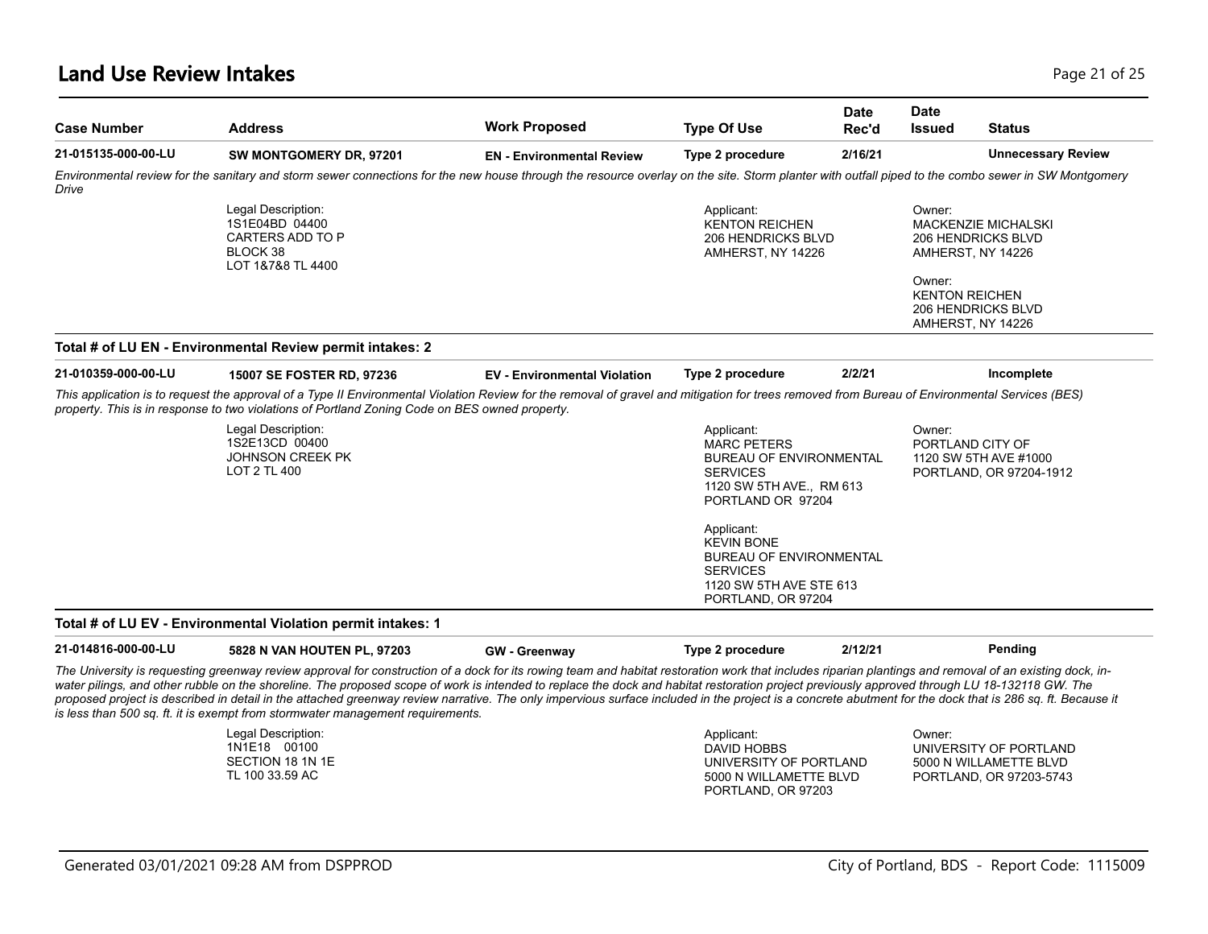#### **Land Use Review Intakes** Page 21 of 25

| <b>Case Number</b>  | <b>Address</b>                                                                                                                                                                                                                                                                                                                                                                                                                                                                                                                                                                                                                                                                                          | <b>Work Proposed</b>                | <b>Type Of Use</b>                                                                                                                                                                                                                                                              | <b>Date</b><br>Rec'd | <b>Date</b><br><b>Issued</b>              | <b>Status</b>                                                                                                                  |
|---------------------|---------------------------------------------------------------------------------------------------------------------------------------------------------------------------------------------------------------------------------------------------------------------------------------------------------------------------------------------------------------------------------------------------------------------------------------------------------------------------------------------------------------------------------------------------------------------------------------------------------------------------------------------------------------------------------------------------------|-------------------------------------|---------------------------------------------------------------------------------------------------------------------------------------------------------------------------------------------------------------------------------------------------------------------------------|----------------------|-------------------------------------------|--------------------------------------------------------------------------------------------------------------------------------|
| 21-015135-000-00-LU | SW MONTGOMERY DR, 97201                                                                                                                                                                                                                                                                                                                                                                                                                                                                                                                                                                                                                                                                                 | <b>EN</b> - Environmental Review    | Type 2 procedure                                                                                                                                                                                                                                                                | 2/16/21              |                                           | <b>Unnecessary Review</b>                                                                                                      |
| Drive               | Environmental review for the sanitary and storm sewer connections for the new house through the resource overlay on the site. Storm planter with outfall piped to the combo sewer in SW Montgomery                                                                                                                                                                                                                                                                                                                                                                                                                                                                                                      |                                     |                                                                                                                                                                                                                                                                                 |                      |                                           |                                                                                                                                |
|                     | Legal Description:<br>1S1E04BD 04400<br>CARTERS ADD TO P<br>BLOCK 38<br>LOT 1&7&8 TL 4400                                                                                                                                                                                                                                                                                                                                                                                                                                                                                                                                                                                                               |                                     | Applicant:<br><b>KENTON REICHEN</b><br><b>206 HENDRICKS BLVD</b><br>AMHERST, NY 14226                                                                                                                                                                                           |                      | Owner:<br>Owner:<br><b>KENTON REICHEN</b> | <b>MACKENZIE MICHALSKI</b><br><b>206 HENDRICKS BLVD</b><br>AMHERST, NY 14226<br><b>206 HENDRICKS BLVD</b><br>AMHERST, NY 14226 |
|                     | Total # of LU EN - Environmental Review permit intakes: 2                                                                                                                                                                                                                                                                                                                                                                                                                                                                                                                                                                                                                                               |                                     |                                                                                                                                                                                                                                                                                 |                      |                                           |                                                                                                                                |
| 21-010359-000-00-LU | 15007 SE FOSTER RD, 97236                                                                                                                                                                                                                                                                                                                                                                                                                                                                                                                                                                                                                                                                               | <b>EV</b> - Environmental Violation | Type 2 procedure                                                                                                                                                                                                                                                                | 2/2/21               |                                           | Incomplete                                                                                                                     |
|                     | This application is to request the approval of a Type II Environmental Violation Review for the removal of gravel and mitigation for trees removed from Bureau of Environmental Services (BES)<br>property. This is in response to two violations of Portland Zoning Code on BES owned property.                                                                                                                                                                                                                                                                                                                                                                                                        |                                     |                                                                                                                                                                                                                                                                                 |                      |                                           |                                                                                                                                |
|                     | Legal Description:<br>1S2E13CD 00400<br><b>JOHNSON CREEK PK</b><br>LOT 2 TL 400                                                                                                                                                                                                                                                                                                                                                                                                                                                                                                                                                                                                                         |                                     | Applicant:<br><b>MARC PETERS</b><br><b>BUREAU OF ENVIRONMENTAL</b><br><b>SERVICES</b><br>1120 SW 5TH AVE., RM 613<br>PORTLAND OR 97204<br>Applicant:<br><b>KEVIN BONE</b><br><b>BUREAU OF ENVIRONMENTAL</b><br><b>SERVICES</b><br>1120 SW 5TH AVE STE 613<br>PORTLAND, OR 97204 |                      | Owner:                                    | PORTLAND CITY OF<br>1120 SW 5TH AVE #1000<br>PORTLAND, OR 97204-1912                                                           |
|                     | Total # of LU EV - Environmental Violation permit intakes: 1                                                                                                                                                                                                                                                                                                                                                                                                                                                                                                                                                                                                                                            |                                     |                                                                                                                                                                                                                                                                                 |                      |                                           |                                                                                                                                |
| 21-014816-000-00-LU | 5828 N VAN HOUTEN PL, 97203                                                                                                                                                                                                                                                                                                                                                                                                                                                                                                                                                                                                                                                                             | <b>GW</b> - Greenway                | Type 2 procedure                                                                                                                                                                                                                                                                | 2/12/21              |                                           | Pending                                                                                                                        |
|                     | The University is requesting greenway review approval for construction of a dock for its rowing team and habitat restoration work that includes riparian plantings and removal of an existing dock, in-<br>water pilings, and other rubble on the shoreline. The proposed scope of work is intended to replace the dock and habitat restoration project previously approved through LU 18-132118 GW. The<br>proposed project is described in detail in the attached greenway review narrative. The only impervious surface included in the project is a concrete abutment for the dock that is 286 sq. ft. Because it<br>is less than 500 sq. ft. it is exempt from stormwater management requirements. |                                     |                                                                                                                                                                                                                                                                                 |                      |                                           |                                                                                                                                |
|                     | Legal Description:<br>1N1E18 00100<br>SECTION 18 1N 1E<br>TL 100 33.59 AC                                                                                                                                                                                                                                                                                                                                                                                                                                                                                                                                                                                                                               |                                     | Applicant:<br><b>DAVID HOBBS</b><br>UNIVERSITY OF PORTLAND<br>5000 N WILLAMETTE BLVD<br>PORTLAND, OR 97203                                                                                                                                                                      |                      | Owner:                                    | UNIVERSITY OF PORTLAND<br>5000 N WILLAMETTE BLVD<br>PORTLAND, OR 97203-5743                                                    |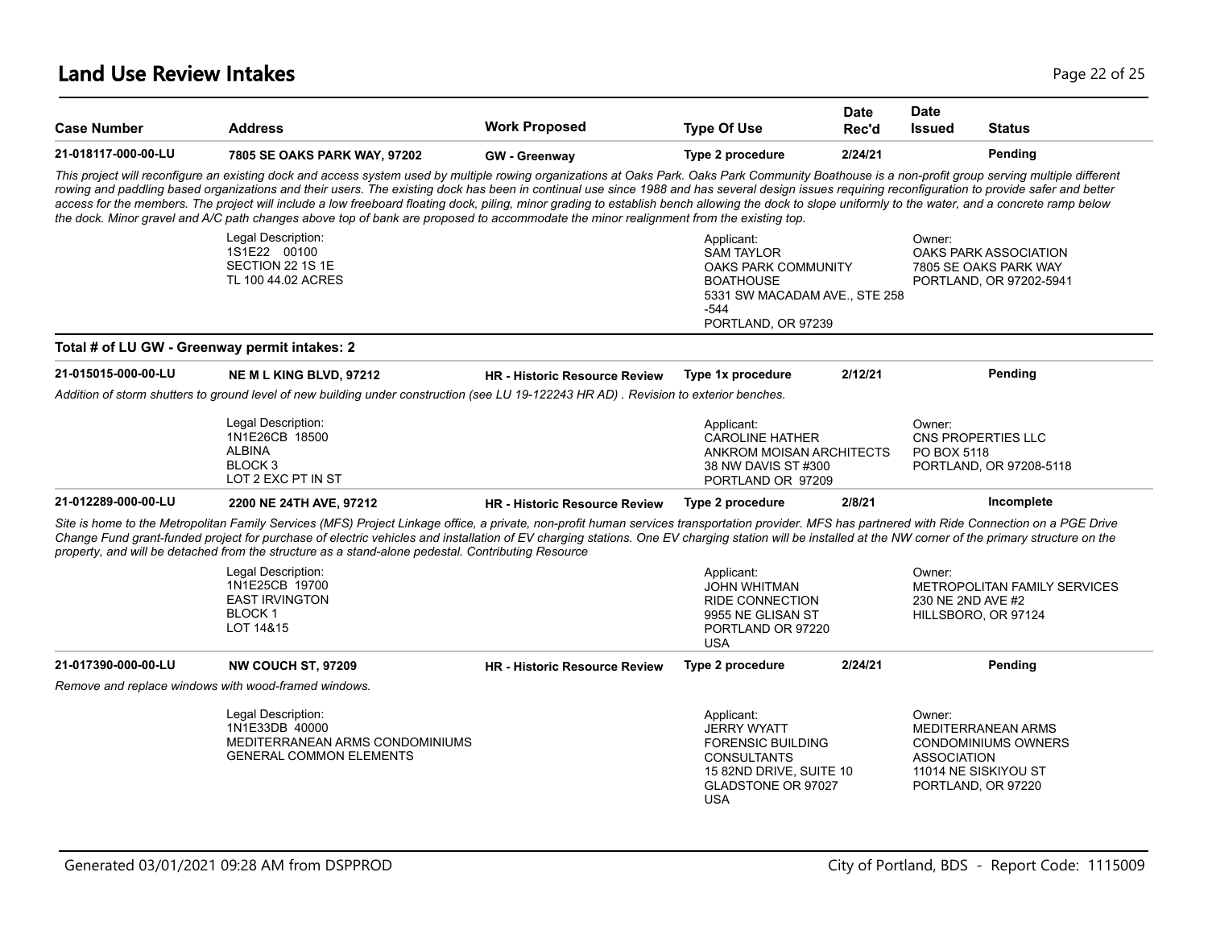| <b>Case Number</b>                                   | <b>Address</b>                                                                                                                                                                                                                                                                                                                                                                                                                                                                                                                                                                                                                                                                                                                                                | <b>Work Proposed</b>                 | <b>Type Of Use</b>                                                                                                                                       | <b>Date</b><br>Rec'd | <b>Date</b><br><b>Issued</b>                                               | <b>Status</b>                                                             |
|------------------------------------------------------|---------------------------------------------------------------------------------------------------------------------------------------------------------------------------------------------------------------------------------------------------------------------------------------------------------------------------------------------------------------------------------------------------------------------------------------------------------------------------------------------------------------------------------------------------------------------------------------------------------------------------------------------------------------------------------------------------------------------------------------------------------------|--------------------------------------|----------------------------------------------------------------------------------------------------------------------------------------------------------|----------------------|----------------------------------------------------------------------------|---------------------------------------------------------------------------|
| 21-018117-000-00-LU                                  | 7805 SE OAKS PARK WAY, 97202                                                                                                                                                                                                                                                                                                                                                                                                                                                                                                                                                                                                                                                                                                                                  | <b>GW</b> - Greenway                 | Type 2 procedure                                                                                                                                         | 2/24/21              |                                                                            | Pending                                                                   |
|                                                      | This project will reconfigure an existing dock and access system used by multiple rowing organizations at Oaks Park. Oaks Park Community Boathouse is a non-profit group serving multiple different<br>rowing and paddling based organizations and their users. The existing dock has been in continual use since 1988 and has several design issues requiring reconfiguration to provide safer and better<br>access for the members. The project will include a low freeboard floating dock, piling, minor grading to establish bench allowing the dock to slope uniformly to the water, and a concrete ramp below<br>the dock. Minor gravel and A/C path changes above top of bank are proposed to accommodate the minor realignment from the existing top. |                                      |                                                                                                                                                          |                      |                                                                            |                                                                           |
|                                                      | Legal Description:<br>1S1E22 00100<br>SECTION 22 1S 1E<br>TL 100 44.02 ACRES                                                                                                                                                                                                                                                                                                                                                                                                                                                                                                                                                                                                                                                                                  |                                      | Applicant:<br><b>SAM TAYLOR</b><br><b>OAKS PARK COMMUNITY</b><br><b>BOATHOUSE</b><br>5331 SW MACADAM AVE., STE 258<br>-544<br>PORTLAND, OR 97239         |                      | Owner:                                                                     | OAKS PARK ASSOCIATION<br>7805 SE OAKS PARK WAY<br>PORTLAND, OR 97202-5941 |
| Total # of LU GW - Greenway permit intakes: 2        |                                                                                                                                                                                                                                                                                                                                                                                                                                                                                                                                                                                                                                                                                                                                                               |                                      |                                                                                                                                                          |                      |                                                                            |                                                                           |
| 21-015015-000-00-LU                                  | NE M L KING BLVD, 97212                                                                                                                                                                                                                                                                                                                                                                                                                                                                                                                                                                                                                                                                                                                                       | <b>HR</b> - Historic Resource Review | Type 1x procedure                                                                                                                                        | 2/12/21              |                                                                            | Pending                                                                   |
|                                                      | Addition of storm shutters to ground level of new building under construction (see LU 19-122243 HR AD). Revision to exterior benches.                                                                                                                                                                                                                                                                                                                                                                                                                                                                                                                                                                                                                         |                                      |                                                                                                                                                          |                      |                                                                            |                                                                           |
|                                                      | Legal Description:<br>1N1E26CB 18500<br><b>ALBINA</b><br>BLOCK <sub>3</sub><br>LOT 2 EXC PT IN ST                                                                                                                                                                                                                                                                                                                                                                                                                                                                                                                                                                                                                                                             |                                      | Applicant:<br><b>CAROLINE HATHER</b><br>ANKROM MOISAN ARCHITECTS<br>38 NW DAVIS ST #300<br>PORTLAND OR 97209                                             |                      | Owner:<br>CNS PROPERTIES LLC<br>PO BOX 5118                                | PORTLAND, OR 97208-5118                                                   |
| 21-012289-000-00-LU                                  | 2200 NE 24TH AVE, 97212                                                                                                                                                                                                                                                                                                                                                                                                                                                                                                                                                                                                                                                                                                                                       | <b>HR</b> - Historic Resource Review | Type 2 procedure                                                                                                                                         | 2/8/21               |                                                                            | Incomplete                                                                |
|                                                      | Site is home to the Metropolitan Family Services (MFS) Project Linkage office, a private, non-profit human services transportation provider. MFS has partnered with Ride Connection on a PGE Drive<br>Change Fund grant-funded project for purchase of electric vehicles and installation of EV charging stations. One EV charging station will be installed at the NW corner of the primary structure on the<br>property, and will be detached from the structure as a stand-alone pedestal. Contributing Resource                                                                                                                                                                                                                                           |                                      |                                                                                                                                                          |                      |                                                                            |                                                                           |
|                                                      | Legal Description:<br>1N1E25CB 19700<br><b>EAST IRVINGTON</b><br><b>BLOCK1</b><br>LOT 14&15                                                                                                                                                                                                                                                                                                                                                                                                                                                                                                                                                                                                                                                                   |                                      | Applicant:<br><b>JOHN WHITMAN</b><br><b>RIDE CONNECTION</b><br>9955 NE GLISAN ST<br>PORTLAND OR 97220<br><b>USA</b>                                      |                      | Owner:<br>230 NE 2ND AVE #2<br>HILLSBORO, OR 97124                         | <b>METROPOLITAN FAMILY SERVICES</b>                                       |
| 21-017390-000-00-LU                                  | <b>NW COUCH ST, 97209</b>                                                                                                                                                                                                                                                                                                                                                                                                                                                                                                                                                                                                                                                                                                                                     | <b>HR</b> - Historic Resource Review | Type 2 procedure                                                                                                                                         | 2/24/21              |                                                                            | Pending                                                                   |
| Remove and replace windows with wood-framed windows. |                                                                                                                                                                                                                                                                                                                                                                                                                                                                                                                                                                                                                                                                                                                                                               |                                      |                                                                                                                                                          |                      |                                                                            |                                                                           |
|                                                      | Legal Description:<br>1N1E33DB 40000<br>MEDITERRANEAN ARMS CONDOMINIUMS<br><b>GENERAL COMMON ELEMENTS</b>                                                                                                                                                                                                                                                                                                                                                                                                                                                                                                                                                                                                                                                     |                                      | Applicant:<br><b>JERRY WYATT</b><br><b>FORENSIC BUILDING</b><br><b>CONSULTANTS</b><br>15 82ND DRIVE, SUITE 10<br><b>GLADSTONE OR 97027</b><br><b>USA</b> |                      | Owner:<br><b>ASSOCIATION</b><br>11014 NE SISKIYOU ST<br>PORTLAND, OR 97220 | <b>MEDITERRANEAN ARMS</b><br><b>CONDOMINIUMS OWNERS</b>                   |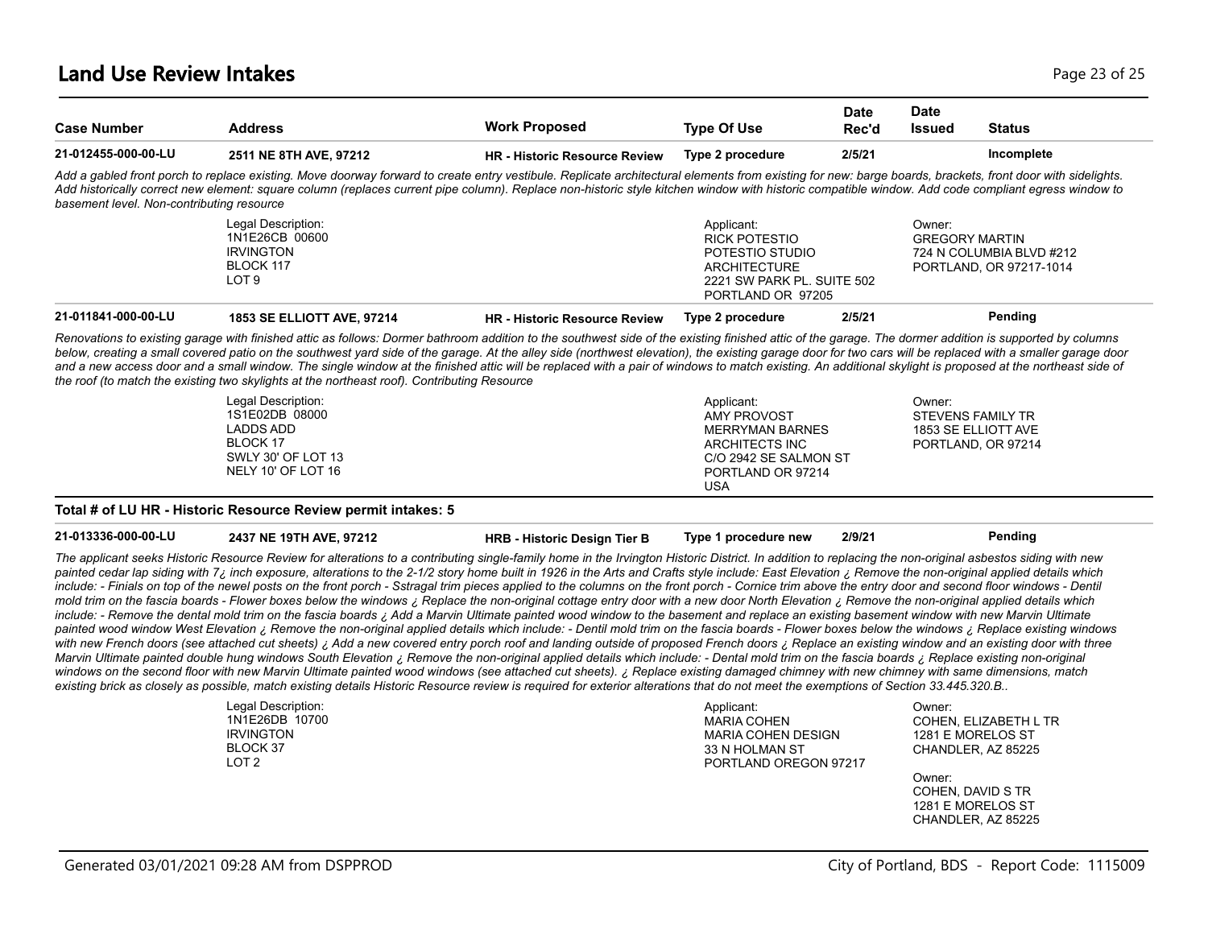#### **Land Use Review Intakes** Page 23 of 25

| <b>Case Number</b>                        | <b>Address</b>                                                                                                                                                                                                                                                                                                                                                                                                                                                                                                                                                                                                                    | <b>Work Proposed</b>                 | <b>Type Of Use</b>                                                                                                              | <b>Date</b><br>Rec'd | <b>Date</b><br>Issued           | <b>Status</b>                                       |
|-------------------------------------------|-----------------------------------------------------------------------------------------------------------------------------------------------------------------------------------------------------------------------------------------------------------------------------------------------------------------------------------------------------------------------------------------------------------------------------------------------------------------------------------------------------------------------------------------------------------------------------------------------------------------------------------|--------------------------------------|---------------------------------------------------------------------------------------------------------------------------------|----------------------|---------------------------------|-----------------------------------------------------|
| 21-012455-000-00-LU                       | 2511 NE 8TH AVE, 97212                                                                                                                                                                                                                                                                                                                                                                                                                                                                                                                                                                                                            | <b>HR - Historic Resource Review</b> | Type 2 procedure                                                                                                                | 2/5/21               |                                 | Incomplete                                          |
| basement level. Non-contributing resource | Add a gabled front porch to replace existing. Move doorway forward to create entry vestibule. Replicate architectural elements from existing for new: barge boards, brackets, front door with sidelights.<br>Add historically correct new element: square column (replaces current pipe column). Replace non-historic style kitchen window with historic compatible window. Add code compliant egress window to                                                                                                                                                                                                                   |                                      |                                                                                                                                 |                      |                                 |                                                     |
|                                           | Legal Description:<br>1N1E26CB 00600<br><b>IRVINGTON</b><br>BLOCK 117<br>LOT <sub>9</sub>                                                                                                                                                                                                                                                                                                                                                                                                                                                                                                                                         |                                      | Applicant:<br><b>RICK POTESTIO</b><br>POTESTIO STUDIO<br><b>ARCHITECTURE</b><br>2221 SW PARK PL. SUITE 502<br>PORTLAND OR 97205 |                      | Owner:<br><b>GREGORY MARTIN</b> | 724 N COLUMBIA BLVD #212<br>PORTLAND, OR 97217-1014 |
| 21-011841-000-00-LU                       | <b>1853 SE ELLIOTT AVE, 97214</b>                                                                                                                                                                                                                                                                                                                                                                                                                                                                                                                                                                                                 | <b>HR</b> - Historic Resource Review | Type 2 procedure                                                                                                                | 2/5/21               |                                 | Pending                                             |
|                                           | Renovations to existing garage with finished attic as follows: Dormer bathroom addition to the southwest side of the existing finished attic of the garage. The dormer addition is supported by columns<br>below, creating a small covered patio on the southwest yard side of the garage. At the alley side (northwest elevation), the existing garage door for two cars will be replaced with a smaller garage door<br>and a new access door and a small window. The single window at the finished attic will be replaced with a pair of windows to match existing. An additional skylight is proposed at the northeast side of |                                      |                                                                                                                                 |                      |                                 |                                                     |
|                                           | the roof (to match the existing two skylights at the northeast roof). Contributing Resource                                                                                                                                                                                                                                                                                                                                                                                                                                                                                                                                       |                                      |                                                                                                                                 |                      |                                 |                                                     |

#### **Total # of LU HR - Historic Resource Review permit intakes: 5**

**21-013336-000-00-LU 2437 NE 19TH AVE, 97212 HRB - Historic Design Tier B Type 1 procedure new 2/9/21 Pending**

*The applicant seeks Historic Resource Review for alterations to a contributing single-family home in the Irvington Historic District. In addition to replacing the non-original asbestos siding with new*  painted cedar lap siding with 7<sub>i</sub> inch exposure, alterations to the 2-1/2 story home built in 1926 in the Arts and Crafts style include: East Elevation ¿ Remove the non-original applied details which include: - Finials on top of the newel posts on the front porch - Sstragal trim pieces applied to the columns on the front porch - Cornice trim above the entry door and second floor windows - Dentil *mold trim on the fascia boards - Flower boxes below the windows ¿ Replace the non-original cottage entry door with a new door North Elevation ¿ Remove the non-original applied details which*  include: - Remove the dental mold trim on the fascia boards ; Add a Marvin Ultimate painted wood window to the basement and replace an existing basement window with new Marvin Ultimate painted wood window West Elevation ¿ Remove the non-original applied details which include: - Dentil mold trim on the fascia boards - Flower boxes below the windows ¿ Replace existing windows with new French doors (see attached cut sheets) *¿* Add a new covered entry porch roof and landing outside of proposed French doors *¿* Replace an existing window and an existing door with three *Marvin Ultimate painted double hung windows South Elevation ¿ Remove the non-original applied details which include: - Dental mold trim on the fascia boards ¿ Replace existing non-original*  windows on the second floor with new Marvin Ultimate painted wood windows (see attached cut sheets). ¿ Replace existing damaged chimney with new chimney with same dimensions, match *existing brick as closely as possible, match existing details Historic Resource review is required for exterior alterations that do not meet the exemptions of Section 33.445.320.B..*

| Legal Description: | Applicant:                | Owner:                |
|--------------------|---------------------------|-----------------------|
| 1N1E26DB 10700     | <b>MARIA COHEN</b>        | COHEN. ELIZABETH L TR |
| <b>IRVINGTON</b>   | <b>MARIA COHEN DESIGN</b> | 1281 E MORELOS ST     |
| BLOCK 37           | 33 N HOLMAN ST            | CHANDLER, AZ 85225    |
| LOT <sub>2</sub>   | PORTLAND OREGON 97217     |                       |
|                    |                           | Owner:                |
|                    |                           | COHEN, DAVID S TR     |
|                    |                           | 1281 F MORFI OS ST    |

CHANDLER, AZ 85225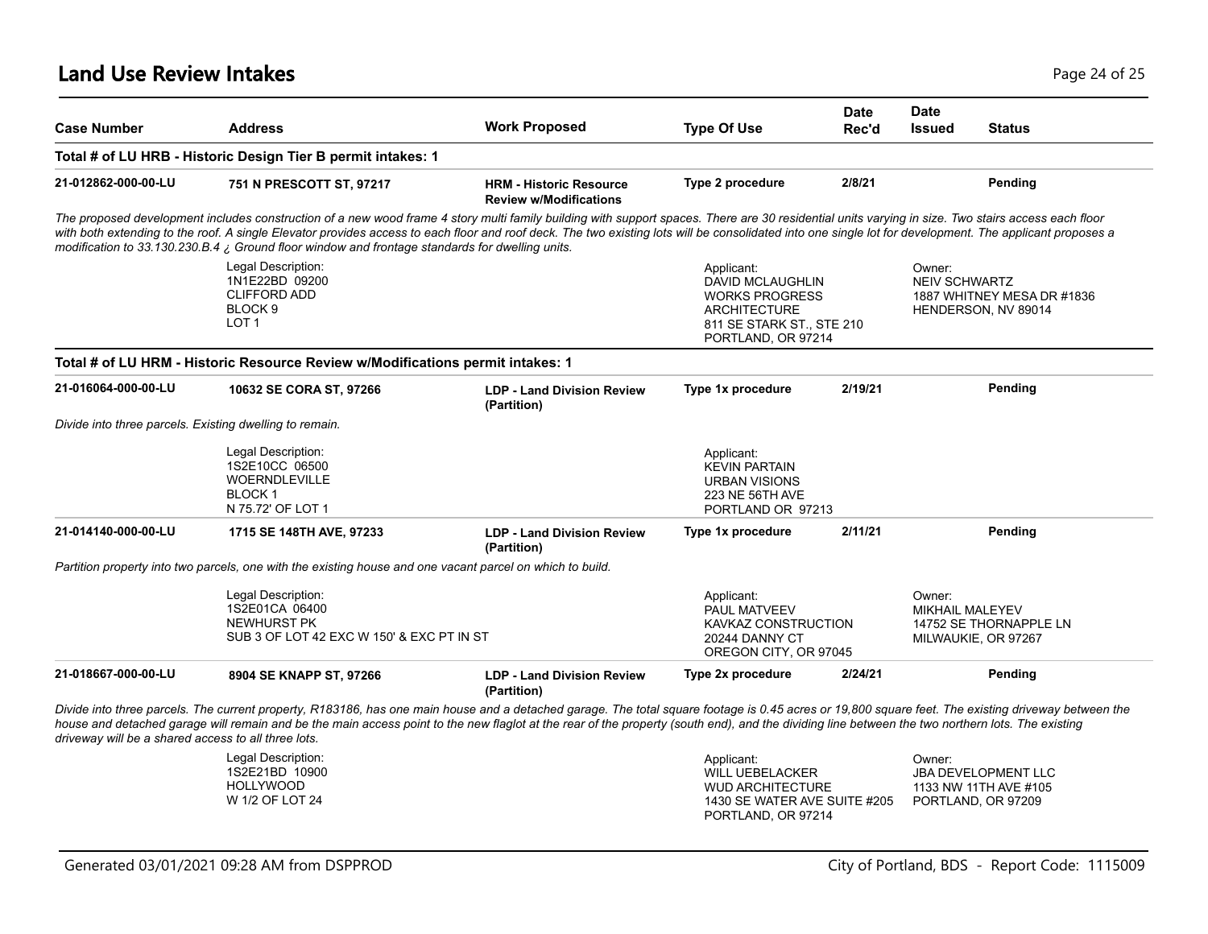#### **Land Use Review Intakes** Page 24 of 25

| <b>Case Number</b>                                      | <b>Address</b>                                                                                                                                                                                                                                                                                                                                                                                                                                                                                                         | <b>Work Proposed</b>                                            | <b>Type Of Use</b>                                                                                                                | <b>Date</b><br>Rec'd | <b>Date</b><br><b>Issued</b>                                                        | <b>Status</b>                                                             |
|---------------------------------------------------------|------------------------------------------------------------------------------------------------------------------------------------------------------------------------------------------------------------------------------------------------------------------------------------------------------------------------------------------------------------------------------------------------------------------------------------------------------------------------------------------------------------------------|-----------------------------------------------------------------|-----------------------------------------------------------------------------------------------------------------------------------|----------------------|-------------------------------------------------------------------------------------|---------------------------------------------------------------------------|
|                                                         | Total # of LU HRB - Historic Design Tier B permit intakes: 1                                                                                                                                                                                                                                                                                                                                                                                                                                                           |                                                                 |                                                                                                                                   |                      |                                                                                     |                                                                           |
| 21-012862-000-00-LU                                     | 751 N PRESCOTT ST, 97217                                                                                                                                                                                                                                                                                                                                                                                                                                                                                               | <b>HRM - Historic Resource</b><br><b>Review w/Modifications</b> | Type 2 procedure                                                                                                                  | 2/8/21               |                                                                                     | Pending                                                                   |
|                                                         | The proposed development includes construction of a new wood frame 4 story multi family building with support spaces. There are 30 residential units varying in size. Two stairs access each floor<br>with both extending to the roof. A single Elevator provides access to each floor and roof deck. The two existing lots will be consolidated into one single lot for development. The applicant proposes a<br>modification to 33.130.230.B.4 $\chi$ Ground floor window and frontage standards for dwelling units. |                                                                 |                                                                                                                                   |                      |                                                                                     |                                                                           |
|                                                         | Legal Description:<br>1N1E22BD 09200<br><b>CLIFFORD ADD</b><br>BLOCK <sub>9</sub><br>LOT <sub>1</sub>                                                                                                                                                                                                                                                                                                                                                                                                                  |                                                                 | Applicant:<br>DAVID MCLAUGHLIN<br><b>WORKS PROGRESS</b><br><b>ARCHITECTURE</b><br>811 SE STARK ST., STE 210<br>PORTLAND, OR 97214 |                      | Owner:<br><b>NEIV SCHWARTZ</b><br>1887 WHITNEY MESA DR #1836<br>HENDERSON, NV 89014 |                                                                           |
|                                                         | Total # of LU HRM - Historic Resource Review w/Modifications permit intakes: 1                                                                                                                                                                                                                                                                                                                                                                                                                                         |                                                                 |                                                                                                                                   |                      |                                                                                     |                                                                           |
| 21-016064-000-00-LU                                     | 10632 SE CORA ST, 97266                                                                                                                                                                                                                                                                                                                                                                                                                                                                                                | <b>LDP - Land Division Review</b><br>(Partition)                | Type 1x procedure                                                                                                                 | 2/19/21              |                                                                                     | Pending                                                                   |
| Divide into three parcels. Existing dwelling to remain. |                                                                                                                                                                                                                                                                                                                                                                                                                                                                                                                        |                                                                 |                                                                                                                                   |                      |                                                                                     |                                                                           |
|                                                         | Legal Description:<br>1S2E10CC 06500<br><b>WOERNDLEVILLE</b><br><b>BLOCK 1</b><br>N 75.72' OF LOT 1                                                                                                                                                                                                                                                                                                                                                                                                                    |                                                                 | Applicant:<br><b>KEVIN PARTAIN</b><br>URBAN VISIONS<br>223 NE 56TH AVE<br>PORTLAND OR 97213                                       |                      |                                                                                     |                                                                           |
| 21-014140-000-00-LU                                     | 1715 SE 148TH AVE, 97233                                                                                                                                                                                                                                                                                                                                                                                                                                                                                               | <b>LDP - Land Division Review</b><br>(Partition)                | Type 1x procedure                                                                                                                 | 2/11/21              |                                                                                     | Pending                                                                   |
|                                                         | Partition property into two parcels, one with the existing house and one vacant parcel on which to build.                                                                                                                                                                                                                                                                                                                                                                                                              |                                                                 |                                                                                                                                   |                      |                                                                                     |                                                                           |
|                                                         | Legal Description:<br>1S2E01CA 06400<br>NEWHURST PK<br>SUB 3 OF LOT 42 EXC W 150' & EXC PT IN ST                                                                                                                                                                                                                                                                                                                                                                                                                       |                                                                 | Applicant:<br>PAUL MATVEEV<br>KAVKAZ CONSTRUCTION<br>20244 DANNY CT<br>OREGON CITY, OR 97045                                      |                      | Owner:<br><b>MIKHAIL MALEYEV</b><br>14752 SE THORNAPPLE LN<br>MILWAUKIE, OR 97267   |                                                                           |
| 21-018667-000-00-LU                                     | 8904 SE KNAPP ST, 97266                                                                                                                                                                                                                                                                                                                                                                                                                                                                                                | <b>LDP - Land Division Review</b><br>(Partition)                | Type 2x procedure                                                                                                                 | 2/24/21              |                                                                                     | Pending                                                                   |
| driveway will be a shared access to all three lots.     | Divide into three parcels. The current property, R183186, has one main house and a detached garage. The total square footage is 0.45 acres or 19,800 square feet. The existing driveway between the<br>house and detached garage will remain and be the main access point to the new flaglot at the rear of the property (south end), and the dividing line between the two northern lots. The existing                                                                                                                |                                                                 |                                                                                                                                   |                      |                                                                                     |                                                                           |
|                                                         | Legal Description:<br>1S2E21BD 10900<br><b>HOLLYWOOD</b><br>W 1/2 OF LOT 24                                                                                                                                                                                                                                                                                                                                                                                                                                            |                                                                 | Applicant:<br><b>WILL UEBELACKER</b><br><b>WUD ARCHITECTURE</b><br>1430 SE WATER AVE SUITE #205<br>PORTLAND, OR 97214             |                      | Owner:                                                                              | <b>JBA DEVELOPMENT LLC</b><br>1133 NW 11TH AVE #105<br>PORTLAND, OR 97209 |